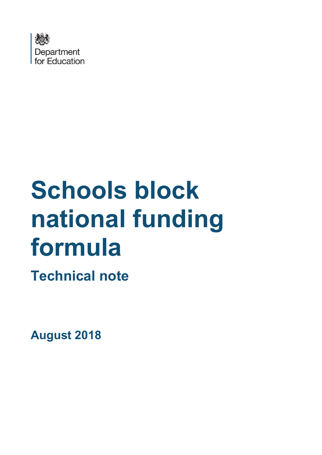

# **Schools block national funding formula**

**Technical note**

**August 2018**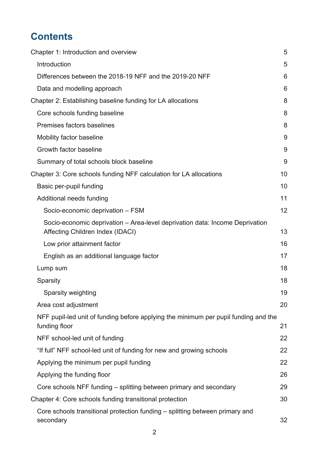# **Contents**

| Chapter 1: Introduction and overview                                                                             | 5  |
|------------------------------------------------------------------------------------------------------------------|----|
| Introduction                                                                                                     | 5  |
| Differences between the 2018-19 NFF and the 2019-20 NFF                                                          | 6  |
| Data and modelling approach                                                                                      | 6  |
| Chapter 2: Establishing baseline funding for LA allocations                                                      | 8  |
| Core schools funding baseline                                                                                    | 8  |
| Premises factors baselines                                                                                       | 8  |
| Mobility factor baseline                                                                                         | 9  |
| Growth factor baseline                                                                                           | 9  |
| Summary of total schools block baseline                                                                          | 9  |
| Chapter 3: Core schools funding NFF calculation for LA allocations                                               | 10 |
| Basic per-pupil funding                                                                                          | 10 |
| Additional needs funding                                                                                         | 11 |
| Socio-economic deprivation - FSM                                                                                 | 12 |
| Socio-economic deprivation - Area-level deprivation data: Income Deprivation<br>Affecting Children Index (IDACI) | 13 |
| Low prior attainment factor                                                                                      | 16 |
| English as an additional language factor                                                                         | 17 |
| Lump sum                                                                                                         | 18 |
| Sparsity                                                                                                         | 18 |
| Sparsity weighting                                                                                               | 19 |
| Area cost adjustment                                                                                             | 20 |
| NFF pupil-led unit of funding before applying the minimum per pupil funding and the<br>funding floor             | 21 |
| NFF school-led unit of funding                                                                                   | 22 |
| "If full" NFF school-led unit of funding for new and growing schools                                             | 22 |
| Applying the minimum per pupil funding                                                                           | 22 |
| Applying the funding floor                                                                                       | 26 |
| Core schools NFF funding – splitting between primary and secondary                                               | 29 |
| Chapter 4: Core schools funding transitional protection                                                          | 30 |
| Core schools transitional protection funding – splitting between primary and<br>secondary                        | 32 |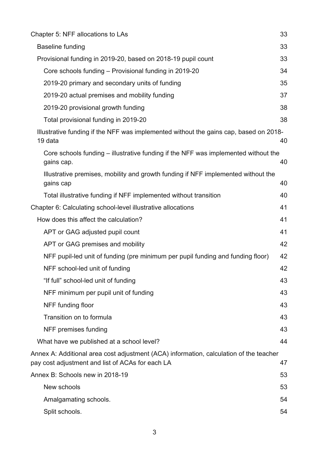| Chapter 5: NFF allocations to LAs                                                                                                          | 33 |
|--------------------------------------------------------------------------------------------------------------------------------------------|----|
| <b>Baseline funding</b>                                                                                                                    | 33 |
| Provisional funding in 2019-20, based on 2018-19 pupil count                                                                               | 33 |
| Core schools funding - Provisional funding in 2019-20                                                                                      | 34 |
| 2019-20 primary and secondary units of funding                                                                                             | 35 |
| 2019-20 actual premises and mobility funding                                                                                               | 37 |
| 2019-20 provisional growth funding                                                                                                         | 38 |
| Total provisional funding in 2019-20                                                                                                       | 38 |
| Illustrative funding if the NFF was implemented without the gains cap, based on 2018-<br>19 data                                           | 40 |
| Core schools funding – illustrative funding if the NFF was implemented without the<br>gains cap.                                           | 40 |
| Illustrative premises, mobility and growth funding if NFF implemented without the<br>gains cap                                             | 40 |
| Total illustrative funding if NFF implemented without transition                                                                           | 40 |
| Chapter 6: Calculating school-level illustrative allocations                                                                               | 41 |
| How does this affect the calculation?                                                                                                      | 41 |
| APT or GAG adjusted pupil count                                                                                                            | 41 |
| APT or GAG premises and mobility                                                                                                           | 42 |
| NFF pupil-led unit of funding (pre minimum per pupil funding and funding floor)                                                            | 42 |
| NFF school-led unit of funding                                                                                                             | 42 |
| "If full" school-led unit of funding                                                                                                       | 43 |
| NFF minimum per pupil unit of funding                                                                                                      | 43 |
| NFF funding floor                                                                                                                          | 43 |
| Transition on to formula                                                                                                                   | 43 |
| NFF premises funding                                                                                                                       | 43 |
| What have we published at a school level?                                                                                                  | 44 |
| Annex A: Additional area cost adjustment (ACA) information, calculation of the teacher<br>pay cost adjustment and list of ACAs for each LA | 47 |
| Annex B: Schools new in 2018-19                                                                                                            | 53 |
| New schools                                                                                                                                | 53 |
| Amalgamating schools.                                                                                                                      | 54 |
| Split schools.                                                                                                                             | 54 |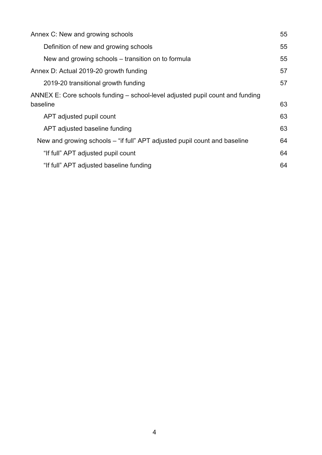| 55 |
|----|
| 55 |
| 55 |
| 57 |
| 57 |
|    |
| 63 |
| 63 |
| 63 |
| 64 |
| 64 |
| 64 |
|    |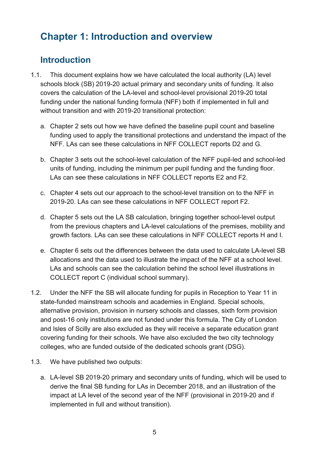# <span id="page-4-0"></span>**Chapter 1: Introduction and overview**

# <span id="page-4-1"></span>**Introduction**

- 1.1. This document explains how we have calculated the local authority (LA) level schools block (SB) 2019-20 actual primary and secondary units of funding. It also covers the calculation of the LA-level and school-level provisional 2019-20 total funding under the national funding formula (NFF) both if implemented in full and without transition and with 2019-20 transitional protection:
	- a. Chapter 2 sets out how we have defined the baseline pupil count and baseline funding used to apply the transitional protections and understand the impact of the NFF. LAs can see these calculations in NFF COLLECT reports D2 and G.
	- b. Chapter 3 sets out the school-level calculation of the NFF pupil-led and school-led units of funding, including the minimum per pupil funding and the funding floor. LAs can see these calculations in NFF COLLECT reports E2 and F2.
	- c. Chapter 4 sets out our approach to the school-level transition on to the NFF in 2019-20. LAs can see these calculations in NFF COLLECT report F2.
	- d. Chapter 5 sets out the LA SB calculation, bringing together school-level output from the previous chapters and LA-level calculations of the premises, mobility and growth factors. LAs can see these calculations in NFF COLLECT reports H and I.
	- e. Chapter 6 sets out the differences between the data used to calculate LA-level SB allocations and the data used to illustrate the impact of the NFF at a school level. LAs and schools can see the calculation behind the school level illustrations in COLLECT report C (individual school summary).
- 1.2. Under the NFF the SB will allocate funding for pupils in Reception to Year 11 in state-funded mainstream schools and academies in England. Special schools, alternative provision, provision in nursery schools and classes, sixth form provision and post-16 only institutions are not funded under this formula. The City of London and Isles of Scilly are also excluded as they will receive a separate education grant covering funding for their schools. We have also excluded the two city technology colleges, who are funded outside of the dedicated schools grant (DSG).
- 1.3. We have published two outputs:
	- a. LA-level SB 2019-20 primary and secondary units of funding, which will be used to derive the final SB funding for LAs in December 2018, and an illustration of the impact at LA level of the second year of the NFF (provisional in 2019-20 and if implemented in full and without transition).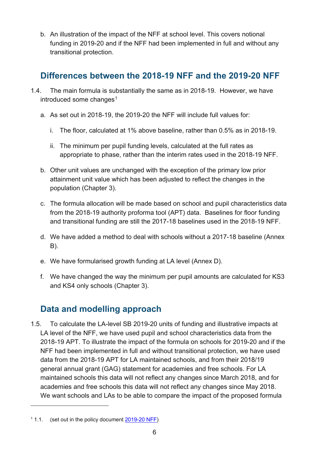b. An illustration of the impact of the NFF at school level. This covers notional funding in 2019-20 and if the NFF had been implemented in full and without any transitional protection.

# <span id="page-5-0"></span>**Differences between the 2018-19 NFF and the 2019-20 NFF**

- 1.4. The main formula is substantially the same as in 2018-19. However, we have introduced some changes $1$ 
	- a. As set out in 2018-19, the 2019-20 the NFF will include full values for:
		- i. The floor, calculated at 1% above baseline, rather than 0.5% as in 2018-19.
		- ii. The minimum per pupil funding levels, calculated at the full rates as appropriate to phase, rather than the interim rates used in the 2018-19 NFF.
	- b. Other unit values are unchanged with the exception of the primary low prior attainment unit value which has been adjusted to reflect the changes in the population (Chapter 3).
	- c. The formula allocation will be made based on school and pupil characteristics data from the 2018-19 authority proforma tool (APT) data. Baselines for floor funding and transitional funding are still the 2017-18 baselines used in the 2018-19 NFF.
	- d. We have added a method to deal with schools without a 2017-18 baseline (Annex B).
	- e. We have formularised growth funding at LA level (Annex D).
	- f. We have changed the way the minimum per pupil amounts are calculated for KS3 and KS4 only schools (Chapter 3).

# <span id="page-5-1"></span>**Data and modelling approach**

1.5. To calculate the LA-level SB 2019-20 units of funding and illustrative impacts at LA level of the NFF, we have used pupil and school characteristics data from the 2018-19 APT. To illustrate the impact of the formula on schools for 2019-20 and if the NFF had been implemented in full and without transitional protection, we have used data from the 2018-19 APT for LA maintained schools, and from their 2018/19 general annual grant (GAG) statement for academies and free schools. For LA maintained schools this data will not reflect any changes since March 2018, and for academies and free schools this data will not reflect any changes since May 2018. We want schools and LAs to be able to compare the impact of the proposed formula

 $\overline{a}$ 

<span id="page-5-2"></span><sup>1</sup> 1.1. (set out in the policy document [2019-20 NFF\)](https://www.gov.uk/government/publications/national-funding-formula-for-schools-and-high-needs)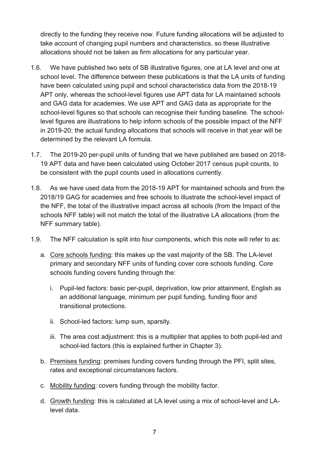directly to the funding they receive now. Future funding allocations will be adjusted to take account of changing pupil numbers and characteristics, so these illustrative allocations should not be taken as firm allocations for any particular year.

- 1.6. We have published two sets of SB illustrative figures, one at LA level and one at school level. The difference between these publications is that the LA units of funding have been calculated using pupil and school characteristics data from the 2018-19 APT only, whereas the school-level figures use APT data for LA maintained schools and GAG data for academies. We use APT and GAG data as appropriate for the school-level figures so that schools can recognise their funding baseline. The schoollevel figures are illustrations to help inform schools of the possible impact of the NFF in 2019-20: the actual funding allocations that schools will receive in that year will be determined by the relevant LA formula.
- 1.7. The 2019-20 per-pupil units of funding that we have published are based on 2018- 19 APT data and have been calculated using October 2017 census pupil counts, to be consistent with the pupil counts used in allocations currently.
- 1.8. As we have used data from the 2018-19 APT for maintained schools and from the 2018/19 GAG for academies and free schools to illustrate the school-level impact of the NFF, the total of the illustrative impact across all schools (from the Impact of the schools NFF table) will not match the total of the illustrative LA allocations (from the NFF summary table).
- 1.9. The NFF calculation is split into four components, which this note will refer to as:
	- a. Core schools funding: this makes up the vast majority of the SB. The LA-level primary and secondary NFF units of funding cover core schools funding. Core schools funding covers funding through the:
		- i. Pupil-led factors: basic per-pupil, deprivation, low prior attainment, English as an additional language, minimum per pupil funding, funding floor and transitional protections.
		- ii. School-led factors: lump sum, sparsity.
		- iii. The area cost adjustment: this is a multiplier that applies to both pupil-led and school-led factors (this is explained further in Chapter 3).
	- b. Premises funding: premises funding covers funding through the PFI, split sites, rates and exceptional circumstances factors.
	- c. Mobility funding: covers funding through the mobility factor.
	- d. Growth funding: this is calculated at LA level using a mix of school-level and LAlevel data.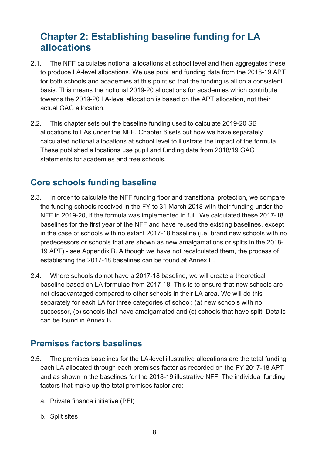# <span id="page-7-0"></span>**Chapter 2: Establishing baseline funding for LA allocations**

- 2.1. The NFF calculates notional allocations at school level and then aggregates these to produce LA-level allocations. We use pupil and funding data from the 2018-19 APT for both schools and academies at this point so that the funding is all on a consistent basis. This means the notional 2019-20 allocations for academies which contribute towards the 2019-20 LA-level allocation is based on the APT allocation, not their actual GAG allocation.
- 2.2. This chapter sets out the baseline funding used to calculate 2019-20 SB allocations to LAs under the NFF. Chapter 6 sets out how we have separately calculated notional allocations at school level to illustrate the impact of the formula. These published allocations use pupil and funding data from 2018/19 GAG statements for academies and free schools.

# <span id="page-7-1"></span>**Core schools funding baseline**

- 2.3. In order to calculate the NFF funding floor and transitional protection, we compare the funding schools received in the FY to 31 March 2018 with their funding under the NFF in 2019-20, if the formula was implemented in full. We calculated these 2017-18 baselines for the first year of the NFF and have reused the existing baselines, except in the case of schools with no extant 2017-18 baseline (i.e. brand new schools with no predecessors or schools that are shown as new amalgamations or splits in the 2018- 19 APT) - see Appendix B. Although we have not recalculated them, the process of establishing the 2017-18 baselines can be found at Annex E.
- 2.4. Where schools do not have a 2017-18 baseline, we will create a theoretical baseline based on LA formulae from 2017-18. This is to ensure that new schools are not disadvantaged compared to other schools in their LA area. We will do this separately for each LA for three categories of school: (a) new schools with no successor, (b) schools that have amalgamated and (c) schools that have split. Details can be found in Annex B.

# <span id="page-7-2"></span>**Premises factors baselines**

- 2.5. The premises baselines for the LA-level illustrative allocations are the total funding each LA allocated through each premises factor as recorded on the FY 2017-18 APT and as shown in the baselines for the 2018-19 illustrative NFF. The individual funding factors that make up the total premises factor are:
	- a. Private finance initiative (PFI)
	- b. Split sites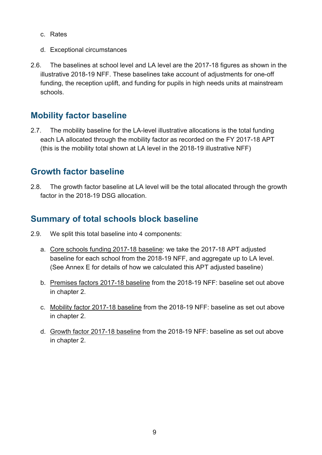- c. Rates
- d. Exceptional circumstances
- 2.6. The baselines at school level and LA level are the 2017-18 figures as shown in the illustrative 2018-19 NFF. These baselines take account of adjustments for one-off funding, the reception uplift, and funding for pupils in high needs units at mainstream schools.

# <span id="page-8-0"></span>**Mobility factor baseline**

2.7. The mobility baseline for the LA-level illustrative allocations is the total funding each LA allocated through the mobility factor as recorded on the FY 2017-18 APT (this is the mobility total shown at LA level in the 2018-19 illustrative NFF)

## <span id="page-8-1"></span>**Growth factor baseline**

2.8. The growth factor baseline at LA level will be the total allocated through the growth factor in the 2018-19 DSG allocation.

## <span id="page-8-2"></span>**Summary of total schools block baseline**

- 2.9. We split this total baseline into 4 components:
	- a. Core schools funding 2017-18 baseline: we take the 2017-18 APT adjusted baseline for each school from the 2018-19 NFF, and aggregate up to LA level. (See Annex E for details of how we calculated this APT adjusted baseline)
	- b. Premises factors 2017-18 baseline from the 2018-19 NFF: baseline set out above in chapter 2.
	- c. Mobility factor 2017-18 baseline from the 2018-19 NFF: baseline as set out above in chapter 2.
	- d. Growth factor 2017-18 baseline from the 2018-19 NFF: baseline as set out above in chapter 2.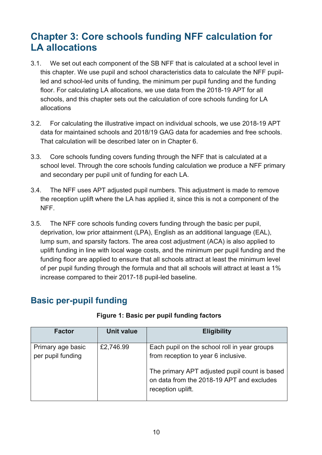# <span id="page-9-0"></span>**Chapter 3: Core schools funding NFF calculation for LA allocations**

- 3.1. We set out each component of the SB NFF that is calculated at a school level in this chapter. We use pupil and school characteristics data to calculate the NFF pupilled and school-led units of funding, the minimum per pupil funding and the funding floor. For calculating LA allocations, we use data from the 2018-19 APT for all schools, and this chapter sets out the calculation of core schools funding for LA allocations
- 3.2. For calculating the illustrative impact on individual schools, we use 2018-19 APT data for maintained schools and 2018/19 GAG data for academies and free schools. That calculation will be described later on in Chapter 6.
- 3.3. Core schools funding covers funding through the NFF that is calculated at a school level. Through the core schools funding calculation we produce a NFF primary and secondary per pupil unit of funding for each LA.
- 3.4. The NFF uses APT adjusted pupil numbers. This adjustment is made to remove the reception uplift where the LA has applied it, since this is not a component of the NFF.
- 3.5. The NFF core schools funding covers funding through the basic per pupil, deprivation, low prior attainment (LPA), English as an additional language (EAL), lump sum, and sparsity factors. The area cost adjustment (ACA) is also applied to uplift funding in line with local wage costs, and the minimum per pupil funding and the funding floor are applied to ensure that all schools attract at least the minimum level of per pupil funding through the formula and that all schools will attract at least a 1% increase compared to their 2017-18 pupil-led baseline.

# <span id="page-9-1"></span>**Basic per-pupil funding**

| Factor                                 | <b>Unit value</b> | <b>Eligibility</b>                                                                                                                                                                                     |
|----------------------------------------|-------------------|--------------------------------------------------------------------------------------------------------------------------------------------------------------------------------------------------------|
| Primary age basic<br>per pupil funding | £2,746.99         | Each pupil on the school roll in year groups<br>from reception to year 6 inclusive.<br>The primary APT adjusted pupil count is based<br>on data from the 2018-19 APT and excludes<br>reception uplift. |

#### **Figure 1: Basic per pupil funding factors**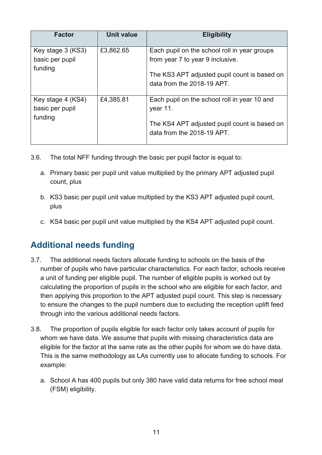| <b>Factor</b>                                   | <b>Unit value</b> | <b>Eligibility</b>                                                                                                                                             |
|-------------------------------------------------|-------------------|----------------------------------------------------------------------------------------------------------------------------------------------------------------|
| Key stage 3 (KS3)<br>basic per pupil<br>funding | £3,862.65         | Each pupil on the school roll in year groups<br>from year 7 to year 9 inclusive.<br>The KS3 APT adjusted pupil count is based on<br>data from the 2018-19 APT. |
| Key stage 4 (KS4)<br>basic per pupil<br>funding | £4,385.81         | Each pupil on the school roll in year 10 and<br>year 11.<br>The KS4 APT adjusted pupil count is based on<br>data from the 2018-19 APT.                         |

- 3.6. The total NFF funding through the basic per pupil factor is equal to:
	- a. Primary basic per pupil unit value multiplied by the primary APT adjusted pupil count, plus
	- b. KS3 basic per pupil unit value multiplied by the KS3 APT adjusted pupil count, plus
	- c. KS4 basic per pupil unit value multiplied by the KS4 APT adjusted pupil count.

# <span id="page-10-0"></span>**Additional needs funding**

- 3.7. The additional needs factors allocate funding to schools on the basis of the number of pupils who have particular characteristics. For each factor, schools receive a unit of funding per eligible pupil. The number of eligible pupils is worked out by calculating the proportion of pupils in the school who are eligible for each factor, and then applying this proportion to the APT adjusted pupil count. This step is necessary to ensure the changes to the pupil numbers due to excluding the reception uplift feed through into the various additional needs factors.
- 3.8. The proportion of pupils eligible for each factor only takes account of pupils for whom we have data. We assume that pupils with missing characteristics data are eligible for the factor at the same rate as the other pupils for whom we do have data. This is the same methodology as LAs currently use to allocate funding to schools. For example:
	- a. School A has 400 pupils but only 380 have valid data returns for free school meal (FSM) eligibility.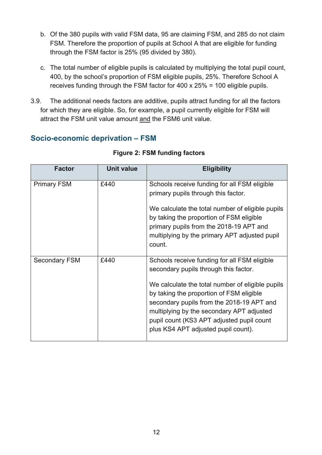- b. Of the 380 pupils with valid FSM data, 95 are claiming FSM, and 285 do not claim FSM. Therefore the proportion of pupils at School A that are eligible for funding through the FSM factor is 25% (95 divided by 380).
- c. The total number of eligible pupils is calculated by multiplying the total pupil count, 400, by the school's proportion of FSM eligible pupils, 25%. Therefore School A receives funding through the FSM factor for 400 x 25% = 100 eligible pupils.
- 3.9. The additional needs factors are additive, pupils attract funding for all the factors for which they are eligible. So, for example, a pupil currently eligible for FSM will attract the FSM unit value amount and the FSM6 unit value.

#### <span id="page-11-0"></span>**Socio-economic deprivation – FSM**

| <b>Factor</b>        | <b>Unit value</b> | <b>Eligibility</b>                                                                                                                                                                                                                                                                                                                                                  |
|----------------------|-------------------|---------------------------------------------------------------------------------------------------------------------------------------------------------------------------------------------------------------------------------------------------------------------------------------------------------------------------------------------------------------------|
| <b>Primary FSM</b>   | £440              | Schools receive funding for all FSM eligible<br>primary pupils through this factor.                                                                                                                                                                                                                                                                                 |
|                      |                   | We calculate the total number of eligible pupils<br>by taking the proportion of FSM eligible<br>primary pupils from the 2018-19 APT and<br>multiplying by the primary APT adjusted pupil<br>count.                                                                                                                                                                  |
| <b>Secondary FSM</b> | £440              | Schools receive funding for all FSM eligible<br>secondary pupils through this factor.<br>We calculate the total number of eligible pupils<br>by taking the proportion of FSM eligible<br>secondary pupils from the 2018-19 APT and<br>multiplying by the secondary APT adjusted<br>pupil count (KS3 APT adjusted pupil count<br>plus KS4 APT adjusted pupil count). |

#### **Figure 2: FSM funding factors**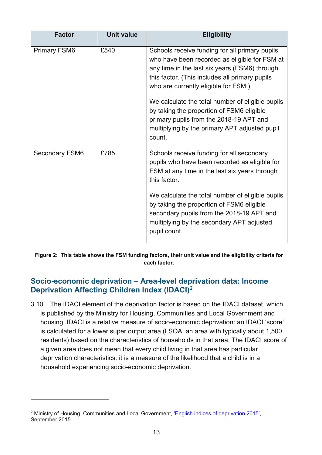| <b>Factor</b>         | <b>Unit value</b> | <b>Eligibility</b>                                                                                                                                                                                                                                                                                                                                                                                                                                |
|-----------------------|-------------------|---------------------------------------------------------------------------------------------------------------------------------------------------------------------------------------------------------------------------------------------------------------------------------------------------------------------------------------------------------------------------------------------------------------------------------------------------|
| <b>Primary FSM6</b>   | £540              | Schools receive funding for all primary pupils<br>who have been recorded as eligible for FSM at<br>any time in the last six years (FSM6) through<br>this factor. (This includes all primary pupils<br>who are currently eligible for FSM.)<br>We calculate the total number of eligible pupils<br>by taking the proportion of FSM6 eligible<br>primary pupils from the 2018-19 APT and<br>multiplying by the primary APT adjusted pupil<br>count. |
| <b>Secondary FSM6</b> | £785              | Schools receive funding for all secondary<br>pupils who have been recorded as eligible for<br>FSM at any time in the last six years through<br>this factor.<br>We calculate the total number of eligible pupils<br>by taking the proportion of FSM6 eligible<br>secondary pupils from the 2018-19 APT and<br>multiplying by the secondary APT adjusted<br>pupil count.                                                                            |

**Figure 2: This table shows the FSM funding factors, their unit value and the eligibility criteria for each factor.**

#### <span id="page-12-0"></span>**Socio-economic deprivation – Area-level deprivation data: Income Deprivation Affecting Children Index (IDACI)[2](#page-12-1)**

3.10. The IDACI element of the deprivation factor is based on the IDACI dataset, which is published by the Ministry for Housing, Communities and Local Government and housing. IDACI is a relative measure of socio-economic deprivation: an IDACI 'score' is calculated for a lower super output area (LSOA, an area with typically about 1,500 residents) based on the characteristics of households in that area. The IDACI score of a given area does not mean that every child living in that area has particular deprivation characteristics: it is a measure of the likelihood that a child is in a household experiencing socio-economic deprivation.

 $\overline{a}$ 

<span id="page-12-1"></span><sup>&</sup>lt;sup>2</sup> Ministry of Housing, Communities and Local Government, ['English indices of deprivation 2015',](https://www.gov.uk/government/statistics/english-indices-of-deprivation-2015) September 2015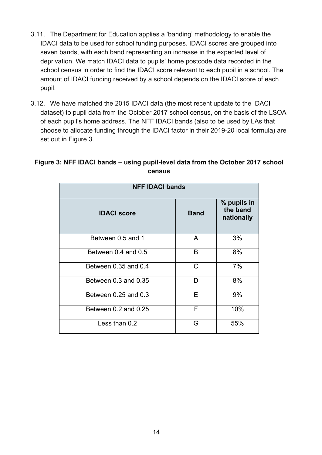- 3.11. The Department for Education applies a 'banding' methodology to enable the IDACI data to be used for school funding purposes. IDACI scores are grouped into seven bands, with each band representing an increase in the expected level of deprivation. We match IDACI data to pupils' home postcode data recorded in the school census in order to find the IDACI score relevant to each pupil in a school. The amount of IDACI funding received by a school depends on the IDACI score of each pupil.
- 3.12. We have matched the 2015 IDACI data (the most recent update to the IDACI dataset) to pupil data from the October 2017 school census, on the basis of the LSOA of each pupil's home address. The NFF IDACI bands (also to be used by LAs that choose to allocate funding through the IDACI factor in their 2019-20 local formula) are set out in Figure 3.

| <b>NFF IDACI bands</b> |             |                                       |  |
|------------------------|-------------|---------------------------------------|--|
| <b>IDACI score</b>     | <b>Band</b> | % pupils in<br>the band<br>nationally |  |
| Between 0.5 and 1      | A           | 3%                                    |  |
| Between 0.4 and 0.5    | B           | 8%                                    |  |
| Between 0.35 and 0.4   | C           | 7%                                    |  |
| Between 0.3 and 0.35   | D           | 8%                                    |  |
| Between 0.25 and 0.3   | Е           | 9%                                    |  |
| Between 0.2 and 0.25   | F           | 10%                                   |  |
| Less than 0.2          | G           | 55%                                   |  |

#### **Figure 3: NFF IDACI bands – using pupil-level data from the October 2017 school census**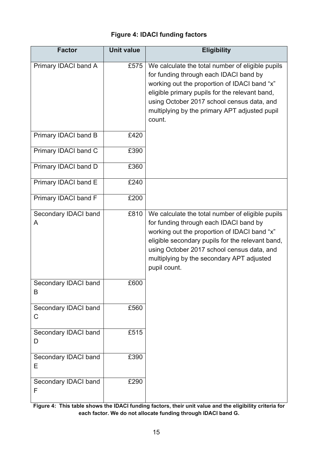#### **Figure 4: IDACI funding factors**

| <b>Factor</b>             | <b>Unit value</b> | <b>Eligibility</b>                                                                                                                                                                                                                                                                                        |
|---------------------------|-------------------|-----------------------------------------------------------------------------------------------------------------------------------------------------------------------------------------------------------------------------------------------------------------------------------------------------------|
| Primary IDACI band A      | £575              | We calculate the total number of eligible pupils<br>for funding through each IDACI band by<br>working out the proportion of IDACI band "x"<br>eligible primary pupils for the relevant band,<br>using October 2017 school census data, and<br>multiplying by the primary APT adjusted pupil<br>count.     |
| Primary IDACI band B      | £420              |                                                                                                                                                                                                                                                                                                           |
| Primary IDACI band C      | £390              |                                                                                                                                                                                                                                                                                                           |
| Primary IDACI band D      | £360              |                                                                                                                                                                                                                                                                                                           |
| Primary IDACI band E      | £240              |                                                                                                                                                                                                                                                                                                           |
| Primary IDACI band F      | £200              |                                                                                                                                                                                                                                                                                                           |
| Secondary IDACI band<br>A | £810              | We calculate the total number of eligible pupils<br>for funding through each IDACI band by<br>working out the proportion of IDACI band "x"<br>eligible secondary pupils for the relevant band,<br>using October 2017 school census data, and<br>multiplying by the secondary APT adjusted<br>pupil count. |
| Secondary IDACI band<br>B | £600              |                                                                                                                                                                                                                                                                                                           |
| Secondary IDACI band<br>C | £560              |                                                                                                                                                                                                                                                                                                           |
| Secondary IDACI band<br>D | £515              |                                                                                                                                                                                                                                                                                                           |
| Secondary IDACI band<br>Ε | £390              |                                                                                                                                                                                                                                                                                                           |
| Secondary IDACI band<br>F | £290              |                                                                                                                                                                                                                                                                                                           |

**Figure 4: This table shows the IDACI funding factors, their unit value and the eligibility criteria for each factor. We do not allocate funding through IDACI band G.**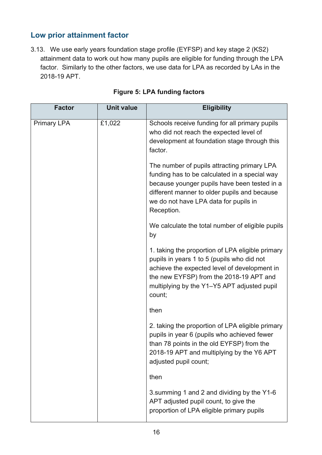# <span id="page-15-0"></span>**Low prior attainment factor**

3.13. We use early years foundation stage profile (EYFSP) and key stage 2 (KS2) attainment data to work out how many pupils are eligible for funding through the LPA factor. Similarly to the other factors, we use data for LPA as recorded by LAs in the 2018-19 APT.

| <b>Factor</b>      | <b>Unit value</b> | <b>Eligibility</b>                                                                                                                                                                                                                                  |
|--------------------|-------------------|-----------------------------------------------------------------------------------------------------------------------------------------------------------------------------------------------------------------------------------------------------|
| <b>Primary LPA</b> | £1,022            | Schools receive funding for all primary pupils<br>who did not reach the expected level of<br>development at foundation stage through this<br>factor.                                                                                                |
|                    |                   | The number of pupils attracting primary LPA<br>funding has to be calculated in a special way<br>because younger pupils have been tested in a<br>different manner to older pupils and because<br>we do not have LPA data for pupils in<br>Reception. |
|                    |                   | We calculate the total number of eligible pupils<br>by                                                                                                                                                                                              |
|                    |                   | 1. taking the proportion of LPA eligible primary<br>pupils in years 1 to 5 (pupils who did not<br>achieve the expected level of development in<br>the new EYFSP) from the 2018-19 APT and<br>multiplying by the Y1-Y5 APT adjusted pupil<br>count;  |
|                    |                   | then                                                                                                                                                                                                                                                |
|                    |                   | 2. taking the proportion of LPA eligible primary<br>pupils in year 6 (pupils who achieved fewer<br>than 78 points in the old EYFSP) from the<br>2018-19 APT and multiplying by the Y6 APT<br>adjusted pupil count;                                  |
|                    |                   | then                                                                                                                                                                                                                                                |
|                    |                   | 3. summing 1 and 2 and dividing by the Y1-6<br>APT adjusted pupil count, to give the<br>proportion of LPA eligible primary pupils                                                                                                                   |

|  | <b>Figure 5: LPA funding factors</b> |  |
|--|--------------------------------------|--|
|  |                                      |  |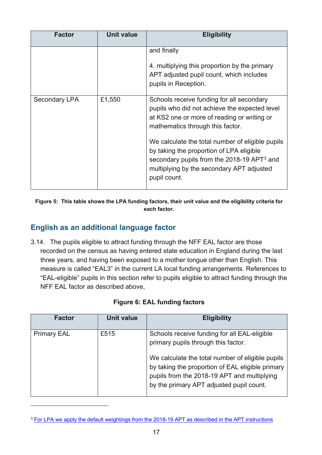| <b>Factor</b> | <b>Unit value</b> | <b>Eligibility</b>                                                                                                                                                                                         |
|---------------|-------------------|------------------------------------------------------------------------------------------------------------------------------------------------------------------------------------------------------------|
|               |                   | and finally<br>4. multiplying this proportion by the primary<br>APT adjusted pupil count, which includes<br>pupils in Reception.                                                                           |
| Secondary LPA | £1,550            | Schools receive funding for all secondary<br>pupils who did not achieve the expected level<br>at KS2 one or more of reading or writing or<br>mathematics through this factor.                              |
|               |                   | We calculate the total number of eligible pupils<br>by taking the proportion of LPA eligible<br>secondary pupils from the 2018-19 APT $3$ and<br>multiplying by the secondary APT adjusted<br>pupil count. |

**Figure 5: This table shows the LPA funding factors, their unit value and the eligibility criteria for each factor.**

#### <span id="page-16-0"></span>**English as an additional language factor**

 $\overline{a}$ 

3.14. The pupils eligible to attract funding through the NFF EAL factor are those recorded on the census as having entered state education in England during the last three years, and having been exposed to a mother tongue other than English. This measure is called "EAL3" in the current LA local funding arrangements. References to "EAL-eligible" pupils in this section refer to pupils eligible to attract funding through the NFF EAL factor as described above,

| Factor             | <b>Unit value</b> | <b>Eligibility</b>                                                                                                                                                                                                                                                                     |
|--------------------|-------------------|----------------------------------------------------------------------------------------------------------------------------------------------------------------------------------------------------------------------------------------------------------------------------------------|
| <b>Primary EAL</b> | £515              | Schools receive funding for all EAL-eligible<br>primary pupils through this factor.<br>We calculate the total number of eligible pupils<br>by taking the proportion of EAL eligible primary<br>pupils from the 2018-19 APT and multiplying<br>by the primary APT adjusted pupil count. |

<span id="page-16-1"></span><sup>&</sup>lt;sup>3</sup> [For LPA we apply the default weightings from the 2018-19 APT as described in the APT instructions](https://www.gov.uk/government/uploads/system/uploads/attachment_data/file/668956/Authority_proforma_tool_instructions_2.odt)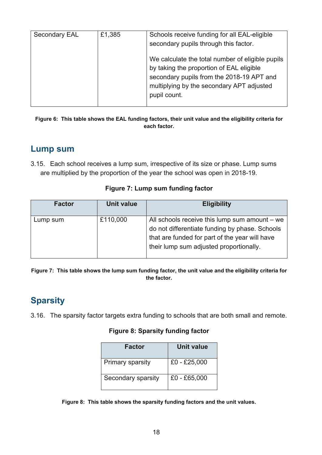| <b>Secondary EAL</b> | £1,385 | Schools receive funding for all EAL-eligible<br>secondary pupils through this factor.                                                                                                                  |  |
|----------------------|--------|--------------------------------------------------------------------------------------------------------------------------------------------------------------------------------------------------------|--|
|                      |        | We calculate the total number of eligible pupils<br>by taking the proportion of EAL eligible<br>secondary pupils from the 2018-19 APT and<br>multiplying by the secondary APT adjusted<br>pupil count. |  |

**Figure 6: This table shows the EAL funding factors, their unit value and the eligibility criteria for each factor.**

## <span id="page-17-0"></span>**Lump sum**

3.15. Each school receives a lump sum, irrespective of its size or phase. Lump sums are multiplied by the proportion of the year the school was open in 2018-19.

| <b>Factor</b> | Unit value | <b>Eligibility</b>                                                                                                                                                                             |
|---------------|------------|------------------------------------------------------------------------------------------------------------------------------------------------------------------------------------------------|
| Lump sum      | £110,000   | All schools receive this lump sum amount $-$ we<br>do not differentiate funding by phase. Schools<br>that are funded for part of the year will have<br>their lump sum adjusted proportionally. |

#### **Figure 7: Lump sum funding factor**

**Figure 7: This table shows the lump sum funding factor, the unit value and the eligibility criteria for the factor.**

# <span id="page-17-1"></span>**Sparsity**

3.16. The sparsity factor targets extra funding to schools that are both small and remote.

#### **Figure 8: Sparsity funding factor**

| Factor             | Unit value     |
|--------------------|----------------|
| Primary sparsity   | $£0 - £25,000$ |
| Secondary sparsity | £0 - £65,000   |

**Figure 8: This table shows the sparsity funding factors and the unit values.**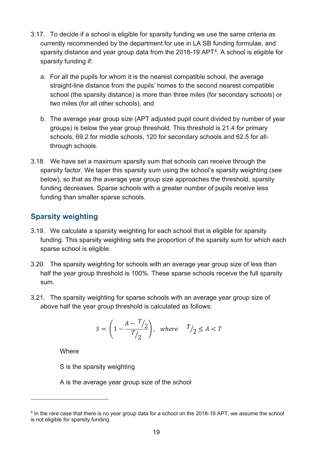- 3.17. To decide if a school is eligible for sparsity funding we use the same criteria as currently recommended by the department for use in LA SB funding formulae, and sparsity distance and year group data from the 2018-19 APT[4](#page-18-1). A school is eligible for sparsity funding if:
	- a. For all the pupils for whom it is the nearest compatible school, the average straight-line distance from the pupils' homes to the second nearest compatible school (the sparsity distance) is more than three miles (for secondary schools) or two miles (for all other schools), and
	- b. The average year group size (APT adjusted pupil count divided by number of year groups) is below the year group threshold. This threshold is 21.4 for primary schools, 69.2 for middle schools, 120 for secondary schools and 62.5 for allthrough schools.
- 3.18. We have set a maximum sparsity sum that schools can receive through the sparsity factor. We taper this sparsity sum using the school's sparsity weighting (see below), so that as the average year group size approaches the threshold, sparsity funding decreases. Sparse schools with a greater number of pupils receive less funding than smaller sparse schools.

#### <span id="page-18-0"></span>**Sparsity weighting**

- 3.19. We calculate a sparsity weighting for each school that is eligible for sparsity funding. This sparsity weighting sets the proportion of the sparsity sum for which each sparse school is eligible.
- 3.20. The sparsity weighting for schools with an average year group size of less than half the year group threshold is 100%. These sparse schools receive the full sparsity sum.
- 3.21. The sparsity weighting for sparse schools with an average year group size of above half the year group threshold is calculated as follows:

$$
S = \left(1 - \frac{A - T/2}{T/2}\right), \quad \text{where} \quad T/2 \le A < T
$$

**Where** 

 $\overline{a}$ 

S is the sparsity weighting

A is the average year group size of the school

<span id="page-18-1"></span><sup>&</sup>lt;sup>4</sup> In the rare case that there is no year group data for a school on the 2018-19 APT, we assume the school is not eligible for sparsity funding.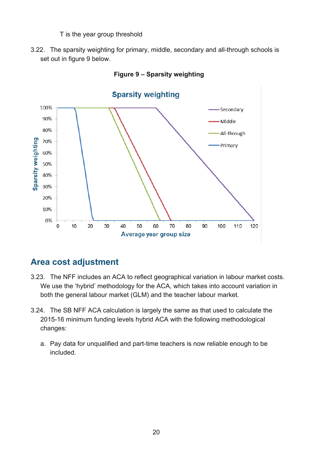T is the year group threshold

3.22. The sparsity weighting for primary, middle, secondary and all-through schools is set out in figure 9 below.



**Figure 9 – Sparsity weighting**

# <span id="page-19-0"></span>**Area cost adjustment**

- 3.23. The NFF includes an ACA to reflect geographical variation in labour market costs. We use the 'hybrid' methodology for the ACA, which takes into account variation in both the general labour market (GLM) and the teacher labour market.
- 3.24. The SB NFF ACA calculation is largely the same as that used to calculate the 2015-16 minimum funding levels hybrid ACA with the following methodological changes:
	- a. Pay data for unqualified and part-time teachers is now reliable enough to be included.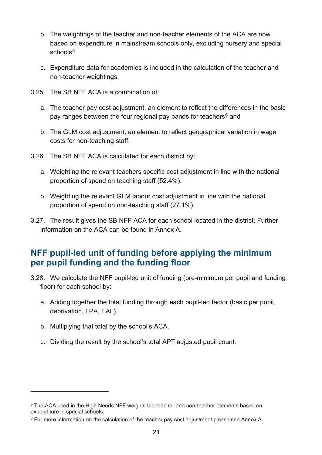- b. The weightings of the teacher and non-teacher elements of the ACA are now based on expenditure in mainstream schools only, excluding nursery and special schools<sup>[5](#page-20-1)</sup>.
- c. Expenditure data for academies is included in the calculation of the teacher and non-teacher weightings.
- 3.25. The SB NFF ACA is a combination of:
	- a. The teacher pay cost adjustment, an element to reflect the differences in the basic pay ranges between the four regional pay bands for teachers $6$  and
	- b. The GLM cost adjustment, an element to reflect geographical variation in wage costs for non-teaching staff.
- 3.26. The SB NFF ACA is calculated for each district by:
	- a. Weighting the relevant teachers specific cost adjustment in line with the national proportion of spend on teaching staff (52.4%).
	- b. Weighting the relevant GLM labour cost adjustment in line with the national proportion of spend on non-teaching staff (27.1%).
- 3.27. The result gives the SB NFF ACA for each school located in the district. Further information on the ACA can be found in Annex A.

# <span id="page-20-0"></span>**NFF pupil-led unit of funding before applying the minimum per pupil funding and the funding floor**

- 3.28. We calculate the NFF pupil-led unit of funding (pre-minimum per pupil and funding floor) for each school by:
	- a. Adding together the total funding through each pupil-led factor (basic per pupil, deprivation, LPA, EAL).
	- b. Multiplying that total by the school's ACA.

 $\overline{a}$ 

c. Dividing the result by the school's total APT adjusted pupil count.

<span id="page-20-1"></span><sup>&</sup>lt;sup>5</sup> The ACA used in the High Needs NFF weights the teacher and non-teacher elements based on expenditure in special schools.

<span id="page-20-2"></span> $6$  For more information on the calculation of the teacher pay cost adjustment please see Annex A.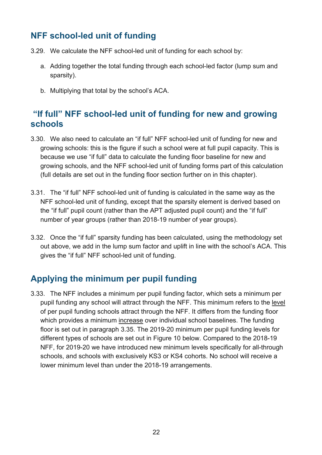# <span id="page-21-0"></span>**NFF school-led unit of funding**

- 3.29. We calculate the NFF school-led unit of funding for each school by:
	- a. Adding together the total funding through each school-led factor (lump sum and sparsity).
	- b. Multiplying that total by the school's ACA.

## <span id="page-21-1"></span>**"If full" NFF school-led unit of funding for new and growing schools**

- 3.30. We also need to calculate an "if full" NFF school-led unit of funding for new and growing schools: this is the figure if such a school were at full pupil capacity. This is because we use "if full" data to calculate the funding floor baseline for new and growing schools, and the NFF school-led unit of funding forms part of this calculation (full details are set out in the funding floor section further on in this chapter).
- 3.31. The "if full" NFF school-led unit of funding is calculated in the same way as the NFF school-led unit of funding, except that the sparsity element is derived based on the "if full" pupil count (rather than the APT adjusted pupil count) and the "if full" number of year groups (rather than 2018-19 number of year groups).
- 3.32. Once the "if full" sparsity funding has been calculated, using the methodology set out above, we add in the lump sum factor and uplift in line with the school's ACA. This gives the "if full" NFF school-led unit of funding.

# <span id="page-21-2"></span>**Applying the minimum per pupil funding**

3.33. The NFF includes a minimum per pupil funding factor, which sets a minimum per pupil funding any school will attract through the NFF. This minimum refers to the level of per pupil funding schools attract through the NFF. It differs from the funding floor which provides a minimum increase over individual school baselines. The funding floor is set out in paragraph 3.35. The 2019-20 minimum per pupil funding levels for different types of schools are set out in Figure 10 below. Compared to the 2018-19 NFF, for 2019-20 we have introduced new minimum levels specifically for all-through schools, and schools with exclusively KS3 or KS4 cohorts. No school will receive a lower minimum level than under the 2018-19 arrangements.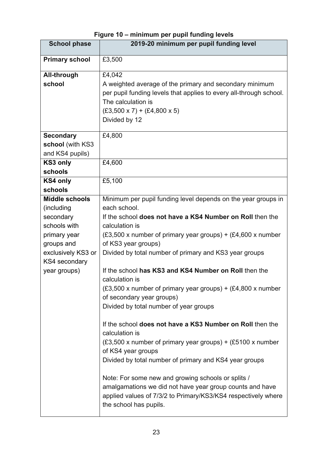# **Figure 10 – minimum per pupil funding levels**

| <b>School phase</b>                 | 2019-20 minimum per pupil funding level                            |  |  |
|-------------------------------------|--------------------------------------------------------------------|--|--|
| <b>Primary school</b>               | £3,500                                                             |  |  |
| All-through                         | £4,042                                                             |  |  |
| school                              | A weighted average of the primary and secondary minimum            |  |  |
|                                     | per pupil funding levels that applies to every all-through school. |  |  |
|                                     | The calculation is                                                 |  |  |
|                                     | $(£3,500 \times 7) + (£4,800 \times 5)$                            |  |  |
|                                     | Divided by 12                                                      |  |  |
| <b>Secondary</b>                    | £4,800                                                             |  |  |
| school (with KS3                    |                                                                    |  |  |
| and KS4 pupils)                     |                                                                    |  |  |
| KS3 only                            | £4,600                                                             |  |  |
| schools                             |                                                                    |  |  |
| <b>KS4 only</b>                     | £5,100                                                             |  |  |
| schools                             |                                                                    |  |  |
| <b>Middle schools</b>               | Minimum per pupil funding level depends on the year groups in      |  |  |
| (including                          | each school.                                                       |  |  |
| secondary                           | If the school does not have a KS4 Number on Roll then the          |  |  |
| schools with                        | calculation is                                                     |  |  |
| primary year                        | (£3,500 x number of primary year groups) + (£4,600 x number        |  |  |
| groups and                          | of KS3 year groups)                                                |  |  |
| exclusively KS3 or<br>KS4 secondary | Divided by total number of primary and KS3 year groups             |  |  |
| year groups)                        | If the school has KS3 and KS4 Number on Roll then the              |  |  |
|                                     | calculation is                                                     |  |  |
|                                     | $(£3,500 x$ number of primary year groups) + $(£4,800 x$ number    |  |  |
|                                     | of secondary year groups)                                          |  |  |
|                                     | Divided by total number of year groups                             |  |  |
|                                     |                                                                    |  |  |
|                                     | If the school does not have a KS3 Number on Roll then the          |  |  |
|                                     | calculation is                                                     |  |  |
|                                     | $(£3,500 x$ number of primary year groups) + $(£5100 x$ number     |  |  |
|                                     | of KS4 year groups                                                 |  |  |
|                                     | Divided by total number of primary and KS4 year groups             |  |  |
|                                     | Note: For some new and growing schools or splits /                 |  |  |
|                                     | amalgamations we did not have year group counts and have           |  |  |
|                                     | applied values of 7/3/2 to Primary/KS3/KS4 respectively where      |  |  |
|                                     | the school has pupils.                                             |  |  |
|                                     |                                                                    |  |  |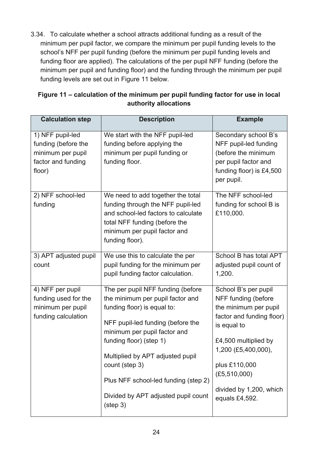3.34. To calculate whether a school attracts additional funding as a result of the minimum per pupil factor, we compare the minimum per pupil funding levels to the school's NFF per pupil funding (before the minimum per pupil funding levels and funding floor are applied). The calculations of the per pupil NFF funding (before the minimum per pupil and funding floor) and the funding through the minimum per pupil funding levels are set out in Figure 11 below.

| Figure 11 – calculation of the minimum per pupil funding factor for use in local |
|----------------------------------------------------------------------------------|
| authority allocations                                                            |

| <b>Calculation step</b>                                                                      | <b>Description</b>                                                                                                                                                                                                                                                                                                                                              | <b>Example</b>                                                                                                                                                                                                                                  |
|----------------------------------------------------------------------------------------------|-----------------------------------------------------------------------------------------------------------------------------------------------------------------------------------------------------------------------------------------------------------------------------------------------------------------------------------------------------------------|-------------------------------------------------------------------------------------------------------------------------------------------------------------------------------------------------------------------------------------------------|
| 1) NFF pupil-led<br>funding (before the<br>minimum per pupil<br>factor and funding<br>floor) | We start with the NFF pupil-led<br>funding before applying the<br>minimum per pupil funding or<br>funding floor.                                                                                                                                                                                                                                                | Secondary school B's<br>NFF pupil-led funding<br>(before the minimum<br>per pupil factor and<br>funding floor) is £4,500<br>per pupil.                                                                                                          |
| 2) NFF school-led<br>funding                                                                 | We need to add together the total<br>funding through the NFF pupil-led<br>and school-led factors to calculate<br>total NFF funding (before the<br>minimum per pupil factor and<br>funding floor).                                                                                                                                                               | The NFF school-led<br>funding for school B is<br>£110,000.                                                                                                                                                                                      |
| 3) APT adjusted pupil<br>count                                                               | We use this to calculate the per<br>pupil funding for the minimum per<br>pupil funding factor calculation.                                                                                                                                                                                                                                                      | School B has total APT<br>adjusted pupil count of<br>1,200.                                                                                                                                                                                     |
| 4) NFF per pupil<br>funding used for the<br>minimum per pupil<br>funding calculation         | The per pupil NFF funding (before<br>the minimum per pupil factor and<br>funding floor) is equal to:<br>NFF pupil-led funding (before the<br>minimum per pupil factor and<br>funding floor) (step 1)<br>Multiplied by APT adjusted pupil<br>count (step 3)<br>Plus NFF school-led funding (step 2)<br>Divided by APT adjusted pupil count<br>$(s_{\text{top}})$ | School B's per pupil<br>NFF funding (before<br>the minimum per pupil<br>factor and funding floor)<br>is equal to<br>£4,500 multiplied by<br>1,200 (£5,400,000),<br>plus £110,000<br>(E5, 510, 000)<br>divided by 1,200, which<br>equals £4,592. |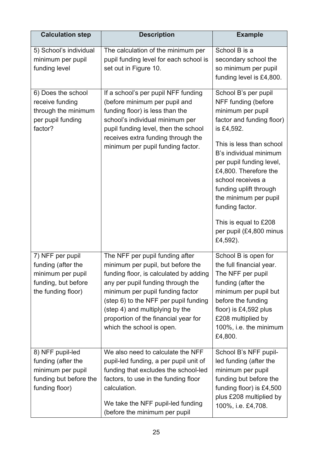| <b>Calculation step</b>                                                                                  | <b>Description</b>                                                                                                                                                                                                                                                                                                                       | <b>Example</b>                                                                                                                                                                                                                                                                                                                             |
|----------------------------------------------------------------------------------------------------------|------------------------------------------------------------------------------------------------------------------------------------------------------------------------------------------------------------------------------------------------------------------------------------------------------------------------------------------|--------------------------------------------------------------------------------------------------------------------------------------------------------------------------------------------------------------------------------------------------------------------------------------------------------------------------------------------|
| 5) School's individual<br>minimum per pupil<br>funding level                                             | The calculation of the minimum per<br>pupil funding level for each school is<br>set out in Figure 10.                                                                                                                                                                                                                                    | School B is a<br>secondary school the<br>so minimum per pupil<br>funding level is £4,800.                                                                                                                                                                                                                                                  |
| 6) Does the school<br>receive funding<br>through the minimum<br>per pupil funding<br>factor?             | If a school's per pupil NFF funding<br>(before minimum per pupil and<br>funding floor) is less than the<br>school's individual minimum per<br>pupil funding level, then the school<br>receives extra funding through the<br>minimum per pupil funding factor.                                                                            | School B's per pupil<br>NFF funding (before<br>minimum per pupil<br>factor and funding floor)<br>is £4,592.<br>This is less than school<br>B's individual minimum<br>per pupil funding level,<br>£4,800. Therefore the<br>school receives a<br>funding uplift through<br>the minimum per pupil<br>funding factor.<br>This is equal to £208 |
|                                                                                                          |                                                                                                                                                                                                                                                                                                                                          | per pupil (£4,800 minus<br>£4,592).                                                                                                                                                                                                                                                                                                        |
| 7) NFF per pupil<br>funding (after the<br>minimum per pupil<br>funding, but before<br>the funding floor) | The NFF per pupil funding after<br>minimum per pupil, but before the<br>funding floor, is calculated by adding<br>any per pupil funding through the<br>minimum per pupil funding factor<br>(step 6) to the NFF per pupil funding<br>(step 4) and multiplying by the<br>proportion of the financial year for<br>which the school is open. | School B is open for<br>the full financial year.<br>The NFF per pupil<br>funding (after the<br>minimum per pupil but<br>before the funding<br>floor) is £4,592 plus<br>£208 multiplied by<br>100%, i.e. the minimum<br>£4,800.                                                                                                             |
| 8) NFF pupil-led<br>funding (after the<br>minimum per pupil<br>funding but before the<br>funding floor)  | We also need to calculate the NFF<br>pupil-led funding, a per pupil unit of<br>funding that excludes the school-led<br>factors, to use in the funding floor<br>calculation.<br>We take the NFF pupil-led funding<br>(before the minimum per pupil                                                                                        | School B's NFF pupil-<br>led funding (after the<br>minimum per pupil<br>funding but before the<br>funding floor) is £4,500<br>plus £208 multiplied by<br>100%, i.e. £4,708.                                                                                                                                                                |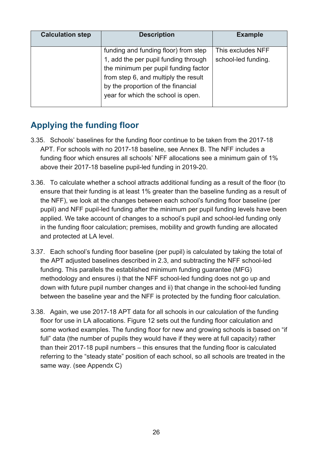| <b>Calculation step</b> | <b>Description</b>                                                                                                   | <b>Example</b>                           |
|-------------------------|----------------------------------------------------------------------------------------------------------------------|------------------------------------------|
|                         | funding and funding floor) from step<br>1, add the per pupil funding through<br>the minimum per pupil funding factor | This excludes NFF<br>school-led funding. |
|                         | from step 6, and multiply the result<br>by the proportion of the financial<br>year for which the school is open.     |                                          |

# <span id="page-25-0"></span>**Applying the funding floor**

- 3.35. Schools' baselines for the funding floor continue to be taken from the 2017-18 APT. For schools with no 2017-18 baseline, see Annex B. The NFF includes a funding floor which ensures all schools' NFF allocations see a minimum gain of 1% above their 2017-18 baseline pupil-led funding in 2019-20.
- 3.36. To calculate whether a school attracts additional funding as a result of the floor (to ensure that their funding is at least 1% greater than the baseline funding as a result of the NFF), we look at the changes between each school's funding floor baseline (per pupil) and NFF pupil-led funding after the minimum per pupil funding levels have been applied. We take account of changes to a school's pupil and school-led funding only in the funding floor calculation; premises, mobility and growth funding are allocated and protected at LA level.
- 3.37. Each school's funding floor baseline (per pupil) is calculated by taking the total of the APT adjusted baselines described in 2.3, and subtracting the NFF school-led funding. This parallels the established minimum funding guarantee (MFG) methodology and ensures i) that the NFF school-led funding does not go up and down with future pupil number changes and ii) that change in the school-led funding between the baseline year and the NFF is protected by the funding floor calculation.
- 3.38. Again, we use 2017-18 APT data for all schools in our calculation of the funding floor for use in LA allocations. Figure 12 sets out the funding floor calculation and some worked examples. The funding floor for new and growing schools is based on "if full" data (the number of pupils they would have if they were at full capacity) rather than their 2017-18 pupil numbers – this ensures that the funding floor is calculated referring to the "steady state" position of each school, so all schools are treated in the same way. (see Appendx C)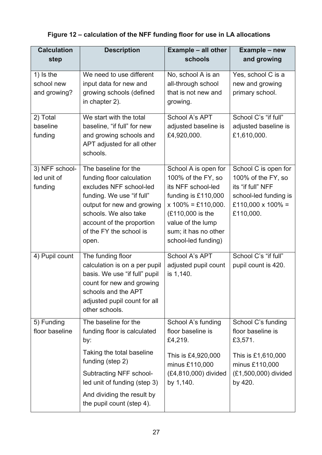# **Figure 12 – calculation of the NFF funding floor for use in LA allocations**

| <b>Calculation</b><br>step                | <b>Description</b>                                                                                                                                                                                                                | <b>Example - all other</b><br>schools                                                                                                                                                                    | Example - new<br>and growing                                                                                                  |
|-------------------------------------------|-----------------------------------------------------------------------------------------------------------------------------------------------------------------------------------------------------------------------------------|----------------------------------------------------------------------------------------------------------------------------------------------------------------------------------------------------------|-------------------------------------------------------------------------------------------------------------------------------|
| $1)$ is the<br>school new<br>and growing? | We need to use different<br>input data for new and<br>growing schools (defined<br>in chapter 2).                                                                                                                                  | No, school A is an<br>all-through school<br>that is not new and<br>growing.                                                                                                                              | Yes, school C is a<br>new and growing<br>primary school.                                                                      |
| 2) Total<br>baseline<br>funding           | We start with the total<br>baseline, "if full" for new<br>and growing schools and<br>APT adjusted for all other<br>schools.                                                                                                       | School A's APT<br>adjusted baseline is<br>£4,920,000.                                                                                                                                                    | School C's "if full"<br>adjusted baseline is<br>£1,610,000.                                                                   |
| 3) NFF school-<br>led unit of<br>funding  | The baseline for the<br>funding floor calculation<br>excludes NFF school-led<br>funding. We use "if full"<br>output for new and growing<br>schools. We also take<br>account of the proportion<br>of the FY the school is<br>open. | School A is open for<br>100% of the FY, so<br>its NFF school-led<br>funding is £110,000<br>$x 100\% = £110,000.$<br>(£110,000 is the<br>value of the lump<br>sum; it has no other<br>school-led funding) | School C is open for<br>100% of the FY, so<br>its "if full" NFF<br>school-led funding is<br>£110,000 x 100% =<br>£110,000.    |
| 4) Pupil count                            | The funding floor<br>calculation is on a per pupil<br>basis. We use "if full" pupil<br>count for new and growing<br>schools and the APT<br>adjusted pupil count for all<br>other schools.                                         | School A's APT<br>adjusted pupil count<br>is 1,140.                                                                                                                                                      | School C's "if full"<br>pupil count is 420.                                                                                   |
| 5) Funding<br>floor baseline              | The baseline for the<br>funding floor is calculated<br>by:<br>Taking the total baseline<br>funding (step 2)<br>Subtracting NFF school-<br>led unit of funding (step 3)<br>And dividing the result by<br>the pupil count (step 4). | School A's funding<br>floor baseline is<br>£4,219.<br>This is £4,920,000<br>minus £110,000<br>(£4,810,000) divided<br>by 1,140.                                                                          | School C's funding<br>floor baseline is<br>£3,571.<br>This is £1,610,000<br>minus £110,000<br>(£1,500,000) divided<br>by 420. |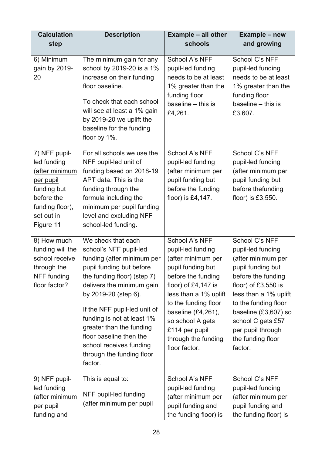| <b>Calculation</b><br>step                                                                                                             | <b>Description</b>                                                                                                                                                                                                                                                                                                                                                                 | <b>Example - all other</b><br>schools                                                                                                                                                                                                                                                  | Example - new<br>and growing                                                                                                                                                                                                                                                   |
|----------------------------------------------------------------------------------------------------------------------------------------|------------------------------------------------------------------------------------------------------------------------------------------------------------------------------------------------------------------------------------------------------------------------------------------------------------------------------------------------------------------------------------|----------------------------------------------------------------------------------------------------------------------------------------------------------------------------------------------------------------------------------------------------------------------------------------|--------------------------------------------------------------------------------------------------------------------------------------------------------------------------------------------------------------------------------------------------------------------------------|
| 6) Minimum<br>gain by 2019-<br>20                                                                                                      | The minimum gain for any<br>school by 2019-20 is a 1%<br>increase on their funding<br>floor baseline.<br>To check that each school<br>will see at least a 1% gain<br>by 2019-20 we uplift the<br>baseline for the funding<br>floor by 1%.                                                                                                                                          | School A's NFF<br>pupil-led funding<br>needs to be at least<br>1% greater than the<br>funding floor<br>baseline $-$ this is<br>£4,261.                                                                                                                                                 | School C's NFF<br>pupil-led funding<br>needs to be at least<br>1% greater than the<br>funding floor<br>baseline $-$ this is<br>£3,607.                                                                                                                                         |
| 7) NFF pupil-<br>led funding<br>(after minimum<br>per pupil<br>funding but<br>before the<br>funding floor),<br>set out in<br>Figure 11 | For all schools we use the<br>NFF pupil-led unit of<br>funding based on 2018-19<br>APT data. This is the<br>funding through the<br>formula including the<br>minimum per pupil funding<br>level and excluding NFF<br>school-led funding.                                                                                                                                            | School A's NFF<br>pupil-led funding<br>(after minimum per<br>pupil funding but<br>before the funding<br>floor) is £4,147.                                                                                                                                                              | School C's NFF<br>pupil-led funding<br>(after minimum per<br>pupil funding but<br>before thefunding<br>floor) is $£3,550.$                                                                                                                                                     |
| 8) How much<br>funding will the<br>school receive<br>through the<br>NFF funding<br>floor factor?                                       | We check that each<br>school's NFF pupil-led<br>funding (after minimum per<br>pupil funding but before<br>the funding floor) (step 7)<br>delivers the minimum gain<br>by 2019-20 (step 6).<br>If the NFF pupil-led unit of<br>funding is not at least 1%<br>greater than the funding<br>floor baseline then the<br>school receives funding<br>through the funding floor<br>factor. | School A's NFF<br>pupil-led funding<br>(after minimum per<br>pupil funding but<br>before the funding<br>floor) of $£4,147$ is<br>less than a 1% uplift<br>to the funding floor<br>baseline $(E4, 261)$ ,<br>so school A gets<br>£114 per pupil<br>through the funding<br>floor factor. | School C's NFF<br>pupil-led funding<br>(after minimum per<br>pupil funding but<br>before the funding<br>floor) of £3,550 is<br>less than a 1% uplift<br>to the funding floor<br>baseline (£3,607) so<br>school C gets £57<br>per pupil through<br>the funding floor<br>factor. |
| 9) NFF pupil-<br>led funding<br>(after minimum<br>per pupil<br>funding and                                                             | This is equal to:<br>NFF pupil-led funding<br>(after minimum per pupil                                                                                                                                                                                                                                                                                                             | School A's NFF<br>pupil-led funding<br>(after minimum per<br>pupil funding and<br>the funding floor) is                                                                                                                                                                                | School C's NFF<br>pupil-led funding<br>(after minimum per<br>pupil funding and<br>the funding floor) is                                                                                                                                                                        |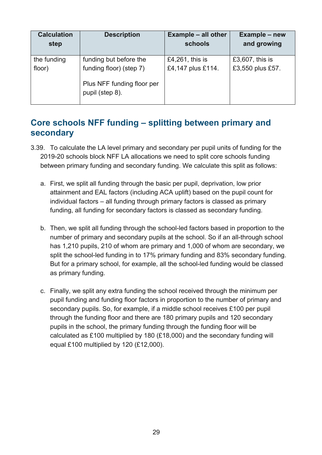| <b>Calculation</b><br>step | <b>Description</b>                                                       | <b>Example – all other</b><br>schools | Example - new<br>and growing |
|----------------------------|--------------------------------------------------------------------------|---------------------------------------|------------------------------|
| the funding                | funding but before the                                                   | £4,261, this is                       | £3,607, this is              |
| floor)                     | funding floor) (step 7)<br>Plus NFF funding floor per<br>pupil (step 8). | £4,147 plus £114.                     | £3,550 plus £57.             |
|                            |                                                                          |                                       |                              |

# <span id="page-28-0"></span>**Core schools NFF funding – splitting between primary and secondary**

- 3.39. To calculate the LA level primary and secondary per pupil units of funding for the 2019-20 schools block NFF LA allocations we need to split core schools funding between primary funding and secondary funding. We calculate this split as follows:
	- a. First, we split all funding through the basic per pupil, deprivation, low prior attainment and EAL factors (including ACA uplift) based on the pupil count for individual factors – all funding through primary factors is classed as primary funding, all funding for secondary factors is classed as secondary funding.
	- b. Then, we split all funding through the school-led factors based in proportion to the number of primary and secondary pupils at the school. So if an all-through school has 1,210 pupils, 210 of whom are primary and 1,000 of whom are secondary, we split the school-led funding in to 17% primary funding and 83% secondary funding. But for a primary school, for example, all the school-led funding would be classed as primary funding.
	- c. Finally, we split any extra funding the school received through the minimum per pupil funding and funding floor factors in proportion to the number of primary and secondary pupils. So, for example, if a middle school receives £100 per pupil through the funding floor and there are 180 primary pupils and 120 secondary pupils in the school, the primary funding through the funding floor will be calculated as £100 multiplied by 180 (£18,000) and the secondary funding will equal £100 multiplied by 120 (£12,000).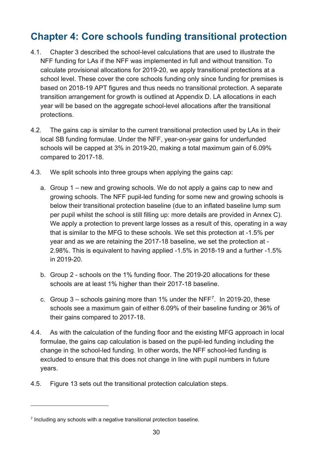# <span id="page-29-0"></span>**Chapter 4: Core schools funding transitional protection**

- 4.1. Chapter 3 described the school-level calculations that are used to illustrate the NFF funding for LAs if the NFF was implemented in full and without transition. To calculate provisional allocations for 2019-20, we apply transitional protections at a school level. These cover the core schools funding only since funding for premises is based on 2018-19 APT figures and thus needs no transitional protection. A separate transition arrangement for growth is outlined at Appendix D. LA allocations in each year will be based on the aggregate school-level allocations after the transitional protections.
- 4.2. The gains cap is similar to the current transitional protection used by LAs in their local SB funding formulae. Under the NFF, year-on-year gains for underfunded schools will be capped at 3% in 2019-20, making a total maximum gain of 6.09% compared to 2017-18.
- <span id="page-29-2"></span>4.3. We split schools into three groups when applying the gains cap:
	- a. Group 1 new and growing schools. We do not apply a gains cap to new and growing schools. The NFF pupil-led funding for some new and growing schools is below their transitional protection baseline (due to an inflated baseline lump sum per pupil whilst the school is still filling up: more details are provided in Annex C). We apply a protection to prevent large losses as a result of this, operating in a way that is similar to the MFG to these schools. We set this protection at -1.5% per year and as we are retaining the 2017-18 baseline, we set the protection at - 2.98%. This is equivalent to having applied -1.5% in 2018-19 and a further -1.5% in 2019-20.
	- b. Group 2 schools on the 1% funding floor. The 2019-20 allocations for these schools are at least 1% higher than their 2017-18 baseline.
	- c. Group  $3$  schools gaining more than 1% under the NFF<sup>7</sup>. In 2019-20, these schools see a maximum gain of either 6.09% of their baseline funding or 36% of their gains compared to 2017-18.
- 4.4. As with the calculation of the funding floor and the existing MFG approach in local formulae, the gains cap calculation is based on the pupil-led funding including the change in the school-led funding. In other words, the NFF school-led funding is excluded to ensure that this does not change in line with pupil numbers in future years.
- 4.5. Figure 13 sets out the transitional protection calculation steps.

 $\overline{a}$ 

<span id="page-29-1"></span> $7$  Including any schools with a negative transitional protection baseline.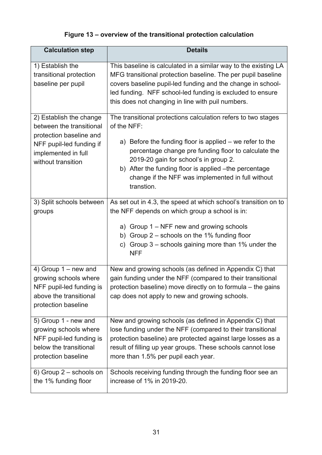# **Figure 13 – overview of the transitional protection calculation**

| <b>Calculation step</b>                                                                                                                                 | <b>Details</b>                                                                                                                                                                                                                                                                                                                                                        |
|---------------------------------------------------------------------------------------------------------------------------------------------------------|-----------------------------------------------------------------------------------------------------------------------------------------------------------------------------------------------------------------------------------------------------------------------------------------------------------------------------------------------------------------------|
| 1) Establish the<br>transitional protection<br>baseline per pupil                                                                                       | This baseline is calculated in a similar way to the existing LA<br>MFG transitional protection baseline. The per pupil baseline<br>covers baseline pupil-led funding and the change in school-<br>led funding. NFF school-led funding is excluded to ensure<br>this does not changing in line with puil numbers.                                                      |
| 2) Establish the change<br>between the transitional<br>protection baseline and<br>NFF pupil-led funding if<br>implemented in full<br>without transition | The transitional protections calculation refers to two stages<br>of the NFF:<br>a) Before the funding floor is applied – we refer to the<br>percentage change pre funding floor to calculate the<br>2019-20 gain for school's in group 2.<br>b) After the funding floor is applied -the percentage<br>change if the NFF was implemented in full without<br>transtion. |
| 3) Split schools between<br>groups                                                                                                                      | As set out in 4.3, the speed at which school's transition on to<br>the NFF depends on which group a school is in:<br>a) Group 1 – NFF new and growing schools<br>b) Group $2$ – schools on the 1% funding floor<br>c) Group $3$ – schools gaining more than 1% under the<br><b>NFF</b>                                                                                |
| 4) Group $1 - new$ and<br>growing schools where<br>NFF pupil-led funding is<br>above the transitional<br>protection baseline                            | New and growing schools (as defined in Appendix C) that<br>gain funding under the NFF (compared to their transitional<br>protection baseline) move directly on to formula - the gains<br>cap does not apply to new and growing schools.                                                                                                                               |
| 5) Group 1 - new and<br>growing schools where<br>NFF pupil-led funding is<br>below the transitional<br>protection baseline                              | New and growing schools (as defined in Appendix C) that<br>lose funding under the NFF (compared to their transitional<br>protection baseline) are protected against large losses as a<br>result of filling up year groups. These schools cannot lose<br>more than 1.5% per pupil each year.                                                                           |
| 6) Group 2 – schools on<br>the 1% funding floor                                                                                                         | Schools receiving funding through the funding floor see an<br>increase of 1% in 2019-20.                                                                                                                                                                                                                                                                              |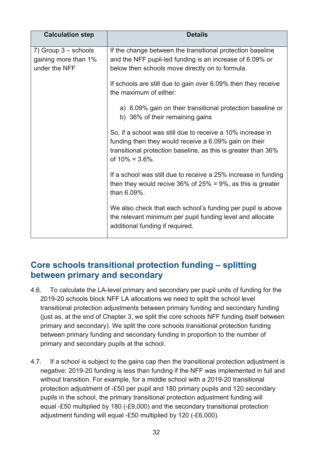| <b>Calculation step</b>                                         | <b>Details</b>                                                                                                                                                                                              |
|-----------------------------------------------------------------|-------------------------------------------------------------------------------------------------------------------------------------------------------------------------------------------------------------|
| 7) Group $3$ – schools<br>gaining more than 1%<br>under the NFF | If the change between the transitional protection baseline<br>and the NFF pupil-led funding is an increase of 6.09% or<br>below then schools move directly on to formula.                                   |
|                                                                 | If schools are still due to gain over 6.09% then they receive<br>the maximum of either:                                                                                                                     |
|                                                                 | a) 6.09% gain on their transitional protection baseline or<br>b) 36% of their remaining gains                                                                                                               |
|                                                                 | So, if a school was still due to receive a 10% increase in<br>funding then they would receive a 6.09% gain on their<br>transitional protection baseline, as this is greater than 36%<br>of $10\% = 3.6\%$ . |
|                                                                 | If a school was still due to receive a 25% increase in funding<br>then they would recive 36% of $25% = 9%$ , as this is greater<br>than 6.09%.                                                              |
|                                                                 | We also check that each school's funding per pupil is above<br>the relevant minimum per pupil funding level and allocate<br>additional funding if required.                                                 |

## <span id="page-31-0"></span>**Core schools transitional protection funding – splitting between primary and secondary**

- 4.6. To calculate the LA-level primary and secondary per pupil units of funding for the 2019-20 schools block NFF LA allocations we need to split the school level transitional protection adjustments between primary funding and secondary funding (just as, at the end of Chapter 3, we split the core schools NFF funding itself between primary and secondary). We split the core schools transitional protection funding between primary funding and secondary funding in proportion to the number of primary and secondary pupils at the school.
- 4.7. If a school is subject to the gains cap then the transitional protection adjustment is negative: 2019-20 funding is less than funding if the NFF was implemented in full and without transition. For example, for a middle school with a 2019-20 transitional protection adjustment of -£50 per pupil and 180 primary pupils and 120 secondary pupils in the school, the primary transitional protection adjustment funding will equal -£50 multiplied by 180 (-£9,000) and the secondary transitional protection adjustment funding will equal -£50 multiplied by 120 (-£6,000).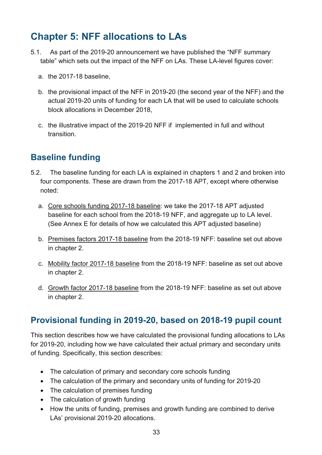# <span id="page-32-0"></span>**Chapter 5: NFF allocations to LAs**

- 5.1. As part of the 2019-20 announcement we have published the "NFF summary table" which sets out the impact of the NFF on LAs. These LA-level figures cover:
	- a. the 2017-18 baseline,
	- b. the provisional impact of the NFF in 2019-20 (the second year of the NFF) and the actual 2019-20 units of funding for each LA that will be used to calculate schools block allocations in December 2018,
	- c. the illustrative impact of the 2019-20 NFF if implemented in full and without transition.

# <span id="page-32-1"></span>**Baseline funding**

- 5.2. The baseline funding for each LA is explained in chapters 1 and 2 and broken into four components. These are drawn from the 2017-18 APT, except where otherwise noted:
	- a. Core schools funding 2017-18 baseline: we take the 2017-18 APT adjusted baseline for each school from the 2018-19 NFF, and aggregate up to LA level. (See Annex E for details of how we calculated this APT adjusted baseline)
	- b. Premises factors 2017-18 baseline from the 2018-19 NFF: baseline set out above in chapter 2.
	- c. Mobility factor 2017-18 baseline from the 2018-19 NFF: baseline as set out above in chapter 2.
	- d. Growth factor 2017-18 baseline from the 2018-19 NFF: baseline as set out above in chapter 2.

# <span id="page-32-2"></span>**Provisional funding in 2019-20, based on 2018-19 pupil count**

This section describes how we have calculated the provisional funding allocations to LAs for 2019-20, including how we have calculated their actual primary and secondary units of funding. Specifically, this section describes:

- The calculation of primary and secondary core schools funding
- The calculation of the primary and secondary units of funding for 2019-20
- The calculation of premises funding
- The calculation of growth funding
- How the units of funding, premises and growth funding are combined to derive LAs' provisional 2019-20 allocations.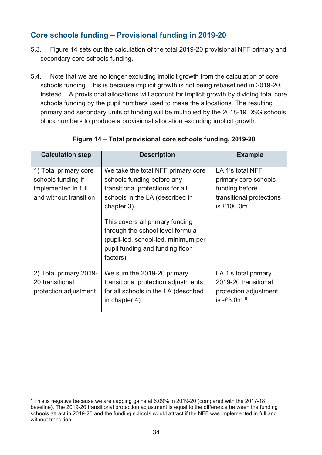## <span id="page-33-0"></span>**Core schools funding – Provisional funding in 2019-20**

- 5.3. Figure 14 sets out the calculation of the total 2019-20 provisional NFF primary and secondary core schools funding.
- 5.4. Note that we are no longer excluding implicit growth from the calculation of core schools funding. This is because implicit growth is not being rebaselined in 2019-20. Instead, LA provisional allocations will account for implicit growth by dividing total core schools funding by the pupil numbers used to make the allocations. The resulting primary and secondary units of funding will be multiplied by the 2018-19 DSG schools block numbers to produce a provisional allocation excluding implicit growth.

| <b>Calculation step</b>                                                                      | <b>Description</b>                                                                                                                                                                                                                                                                                                   | <b>Example</b>                                                                                       |
|----------------------------------------------------------------------------------------------|----------------------------------------------------------------------------------------------------------------------------------------------------------------------------------------------------------------------------------------------------------------------------------------------------------------------|------------------------------------------------------------------------------------------------------|
| 1) Total primary core<br>schools funding if<br>implemented in full<br>and without transition | We take the total NFF primary core<br>schools funding before any<br>transitional protections for all<br>schools in the LA (described in<br>chapter 3).<br>This covers all primary funding<br>through the school level formula<br>(pupil-led, school-led, minimum per<br>pupil funding and funding floor<br>factors). | LA 1's total NFF<br>primary core schools<br>funding before<br>transitional protections<br>is £100.0m |
| 2) Total primary 2019-<br>20 transitional<br>protection adjustment                           | We sum the 2019-20 primary<br>transitional protection adjustments<br>for all schools in the LA (described<br>in chapter 4).                                                                                                                                                                                          | LA 1's total primary<br>2019-20 transitional<br>protection adjustment<br>is $-£3.0$ m. $8$           |

#### **Figure 14 – Total provisional core schools funding, 2019-20**

 $\overline{a}$ 

<span id="page-33-1"></span><sup>&</sup>lt;sup>8</sup> This is negative because we are capping gains at 6.09% in 2019-20 (compared with the 2017-18 baseline). The 2019-20 transitional protection adjustment is equal to the difference between the funding schools attract in 2019-20 and the funding schools would attract if the NFF was implemented in full and without transition.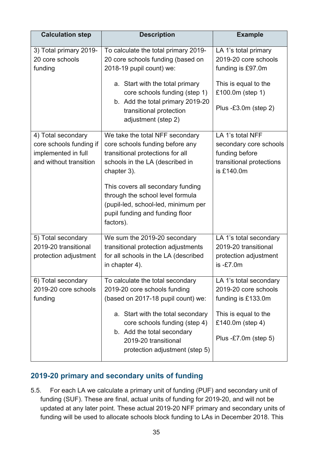| <b>Calculation step</b>                                                                        | <b>Description</b>                                                                                                                                                        | <b>Example</b>                                                                                                |
|------------------------------------------------------------------------------------------------|---------------------------------------------------------------------------------------------------------------------------------------------------------------------------|---------------------------------------------------------------------------------------------------------------|
| 3) Total primary 2019-<br>20 core schools<br>funding                                           | To calculate the total primary 2019-<br>20 core schools funding (based on<br>2018-19 pupil count) we:<br>a. Start with the total primary<br>core schools funding (step 1) | LA 1's total primary<br>2019-20 core schools<br>funding is £97.0m<br>This is equal to the<br>£100.0m (step 1) |
|                                                                                                | b. Add the total primary 2019-20<br>transitional protection<br>adjustment (step 2)                                                                                        | Plus $-E3.0m$ (step 2)                                                                                        |
| 4) Total secondary<br>core schools funding if<br>implemented in full<br>and without transition | We take the total NFF secondary<br>core schools funding before any<br>transitional protections for all<br>schools in the LA (described in<br>chapter 3).                  | LA 1's total NFF<br>secondary core schools<br>funding before<br>transitional protections<br>is £140.0m        |
|                                                                                                | This covers all secondary funding<br>through the school level formula<br>(pupil-led, school-led, minimum per<br>pupil funding and funding floor<br>factors).              |                                                                                                               |
| 5) Total secondary<br>2019-20 transitional<br>protection adjustment                            | We sum the 2019-20 secondary<br>transitional protection adjustments<br>for all schools in the LA (described<br>in chapter 4).                                             | LA 1's total secondary<br>2019-20 transitional<br>protection adjustment<br>$is -E7.0m$                        |
| 6) Total secondary<br>2019-20 core schools<br>funding                                          | To calculate the total secondary<br>2019-20 core schools funding<br>(based on 2017-18 pupil count) we:                                                                    | LA 1's total secondary<br>2019-20 core schools<br>funding is £133.0m                                          |
|                                                                                                | a. Start with the total secondary<br>core schools funding (step 4)<br>b. Add the total secondary<br>2019-20 transitional<br>protection adjustment (step 5)                | This is equal to the<br>£140.0m (step 4)<br>Plus $-E7.0m$ (step 5)                                            |

#### <span id="page-34-0"></span>**2019-20 primary and secondary units of funding**

5.5. For each LA we calculate a primary unit of funding (PUF) and secondary unit of funding (SUF). These are final, actual units of funding for 2019-20, and will not be updated at any later point. These actual 2019-20 NFF primary and secondary units of funding will be used to allocate schools block funding to LAs in December 2018. This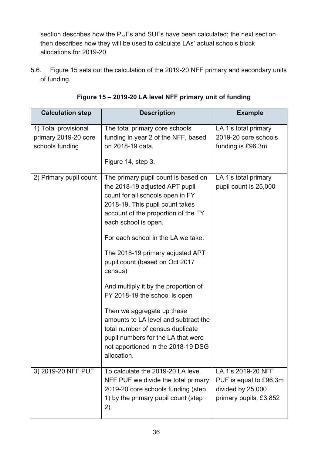section describes how the PUFs and SUFs have been calculated; the next section then describes how they will be used to calculate LAs' actual schools block allocations for 2019-20.

5.6. Figure 15 sets out the calculation of the 2019-20 NFF primary and secondary units of funding.

| <b>Calculation step</b>                                         | <b>Description</b>                                                                                                                                                                                                                                                                                                                                                                                                                                                                                                                                                                                               | <b>Example</b>                                                                              |
|-----------------------------------------------------------------|------------------------------------------------------------------------------------------------------------------------------------------------------------------------------------------------------------------------------------------------------------------------------------------------------------------------------------------------------------------------------------------------------------------------------------------------------------------------------------------------------------------------------------------------------------------------------------------------------------------|---------------------------------------------------------------------------------------------|
| 1) Total provisional<br>primary 2019-20 core<br>schools funding | The total primary core schools<br>funding in year 2 of the NFF, based<br>on 2018-19 data.<br>Figure 14, step 3.                                                                                                                                                                                                                                                                                                                                                                                                                                                                                                  | LA 1's total primary<br>2019-20 core schools<br>funding is £96.3m                           |
| 2) Primary pupil count                                          | The primary pupil count is based on<br>the 2018-19 adjusted APT pupil<br>count for all schools open in FY<br>2018-19. This pupil count takes<br>account of the proportion of the FY<br>each school is open.<br>For each school in the LA we take:<br>The 2018-19 primary adjusted APT<br>pupil count (based on Oct 2017<br>census)<br>And multiply it by the proportion of<br>FY 2018-19 the school is open<br>Then we aggregate up these<br>amounts to LA level and subtract the<br>total number of census duplicate<br>pupil numbers for the LA that were<br>not apportioned in the 2018-19 DSG<br>allocation. | LA 1's total primary<br>pupil count is 25,000                                               |
| 3) 2019-20 NFF PUF                                              | To calculate the 2019-20 LA level<br>NFF PUF we divide the total primary<br>2019-20 core schools funding (step<br>1) by the primary pupil count (step<br>2).                                                                                                                                                                                                                                                                                                                                                                                                                                                     | LA 1's 2019-20 NFF<br>PUF is equal to £96.3m<br>divided by 25,000<br>primary pupils, £3,852 |

**Figure 15 – 2019-20 LA level NFF primary unit of funding**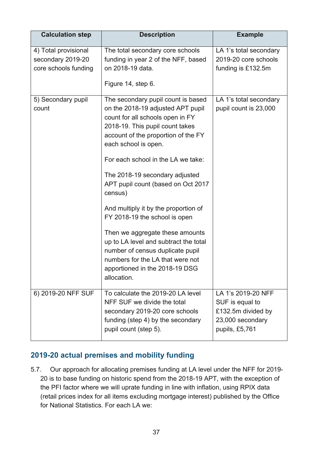| <b>Calculation step</b>                                           | <b>Description</b>                                                                                                                                                                                                                                                                                                                                                                                                                                                                                                                                                                                                   | <b>Example</b>                                                                                    |
|-------------------------------------------------------------------|----------------------------------------------------------------------------------------------------------------------------------------------------------------------------------------------------------------------------------------------------------------------------------------------------------------------------------------------------------------------------------------------------------------------------------------------------------------------------------------------------------------------------------------------------------------------------------------------------------------------|---------------------------------------------------------------------------------------------------|
| 4) Total provisional<br>secondary 2019-20<br>core schools funding | The total secondary core schools<br>funding in year 2 of the NFF, based<br>on 2018-19 data.<br>Figure 14, step 6.                                                                                                                                                                                                                                                                                                                                                                                                                                                                                                    | LA 1's total secondary<br>2019-20 core schools<br>funding is £132.5m                              |
| 5) Secondary pupil<br>count                                       | The secondary pupil count is based<br>on the 2018-19 adjusted APT pupil<br>count for all schools open in FY<br>2018-19. This pupil count takes<br>account of the proportion of the FY<br>each school is open.<br>For each school in the LA we take:<br>The 2018-19 secondary adjusted<br>APT pupil count (based on Oct 2017<br>census)<br>And multiply it by the proportion of<br>FY 2018-19 the school is open<br>Then we aggregate these amounts<br>up to LA level and subtract the total<br>number of census duplicate pupil<br>numbers for the LA that were not<br>apportioned in the 2018-19 DSG<br>allocation. | LA 1's total secondary<br>pupil count is 23,000                                                   |
| 6) 2019-20 NFF SUF                                                | To calculate the 2019-20 LA level<br>NFF SUF we divide the total<br>secondary 2019-20 core schools<br>funding (step 4) by the secondary<br>pupil count (step 5).                                                                                                                                                                                                                                                                                                                                                                                                                                                     | LA 1's 2019-20 NFF<br>SUF is equal to<br>£132.5m divided by<br>23,000 secondary<br>pupils, £5,761 |

#### <span id="page-36-0"></span>**2019-20 actual premises and mobility funding**

5.7. Our approach for allocating premises funding at LA level under the NFF for 2019- 20 is to base funding on historic spend from the 2018-19 APT, with the exception of the PFI factor where we will uprate funding in line with inflation, using RPIX data (retail prices index for all items excluding mortgage interest) published by the Office for National Statistics. For each LA we: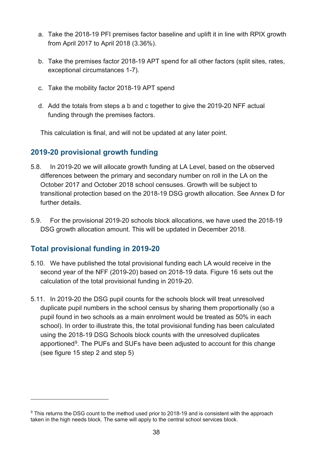- a. Take the 2018-19 PFI premises factor baseline and uplift it in line with RPIX growth from April 2017 to April 2018 (3.36%).
- b. Take the premises factor 2018-19 APT spend for all other factors (split sites, rates, exceptional circumstances 1-7).
- c. Take the mobility factor 2018-19 APT spend
- d. Add the totals from steps a b and c together to give the 2019-20 NFF actual funding through the premises factors.

This calculation is final, and will not be updated at any later point.

#### <span id="page-37-0"></span>**2019-20 provisional growth funding**

- 5.8. In 2019-20 we will allocate growth funding at LA Level, based on the observed differences between the primary and secondary number on roll in the LA on the October 2017 and October 2018 school censuses. Growth will be subject to transitional protection based on the 2018-19 DSG growth allocation. See Annex D for further details.
- 5.9. For the provisional 2019-20 schools block allocations, we have used the 2018-19 DSG growth allocation amount. This will be updated in December 2018.

#### <span id="page-37-1"></span>**Total provisional funding in 2019-20**

 $\overline{a}$ 

- 5.10. We have published the total provisional funding each LA would receive in the second year of the NFF (2019-20) based on 2018-19 data. Figure 16 sets out the calculation of the total provisional funding in 2019-20.
- 5.11. In 2019-20 the DSG pupil counts for the schools block will treat unresolved duplicate pupil numbers in the school census by sharing them proportionally (so a pupil found in two schools as a main enrolment would be treated as 50% in each school). In order to illustrate this, the total provisional funding has been calculated using the 2018-19 DSG Schools block counts with the unresolved duplicates apportioned<sup>[9](#page-37-2)</sup>. The PUFs and SUFs have been adjusted to account for this change (see figure 15 step 2 and step 5)

<span id="page-37-2"></span><sup>&</sup>lt;sup>9</sup> This returns the DSG count to the method used prior to 2018-19 and is consistent with the approach taken in the high needs block. The same will apply to the central school services block.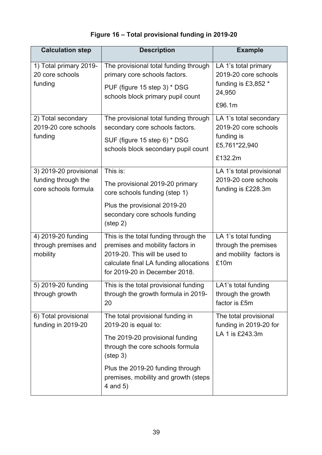# **Figure 16 – Total provisional funding in 2019-20**

| <b>Calculation step</b>                                               | <b>Description</b>                                                                                                                                                                                                                    | <b>Example</b>                                                                           |
|-----------------------------------------------------------------------|---------------------------------------------------------------------------------------------------------------------------------------------------------------------------------------------------------------------------------------|------------------------------------------------------------------------------------------|
| 1) Total primary 2019-<br>20 core schools<br>funding                  | The provisional total funding through<br>primary core schools factors.<br>PUF (figure 15 step 3) * DSG<br>schools block primary pupil count                                                                                           | LA 1's total primary<br>2019-20 core schools<br>funding is £3,852 *<br>24,950<br>£96.1m  |
| 2) Total secondary<br>2019-20 core schools<br>funding                 | The provisional total funding through<br>secondary core schools factors.<br>SUF (figure 15 step 6) * DSG<br>schools block secondary pupil count                                                                                       | LA 1's total secondary<br>2019-20 core schools<br>funding is<br>£5,761*22,940<br>£132.2m |
| 3) 2019-20 provisional<br>funding through the<br>core schools formula | This is:<br>The provisional 2019-20 primary<br>core schools funding (step 1)<br>Plus the provisional 2019-20<br>secondary core schools funding<br>$(\text{step } 2)$                                                                  | LA 1's total provisional<br>2019-20 core schools<br>funding is £228.3m                   |
| 4) 2019-20 funding<br>through premises and<br>mobility                | This is the total funding through the<br>premises and mobility factors in<br>2019-20. This will be used to<br>calculate final LA funding allocations<br>for 2019-20 in December 2018.                                                 | LA 1's total funding<br>through the premises<br>and mobility factors is<br>£10m          |
| $\overline{5}$ ) 2019-20 funding<br>through growth                    | This is the total provisional funding<br>through the growth formula in 2019-<br>20                                                                                                                                                    | LA1's total funding<br>through the growth<br>factor is £5m                               |
| 6) Total provisional<br>funding in 2019-20                            | The total provisional funding in<br>2019-20 is equal to:<br>The 2019-20 provisional funding<br>through the core schools formula<br>(step 3)<br>Plus the 2019-20 funding through<br>premises, mobility and growth (steps<br>4 and $5)$ | The total provisional<br>funding in 2019-20 for<br>LA 1 is £243.3m                       |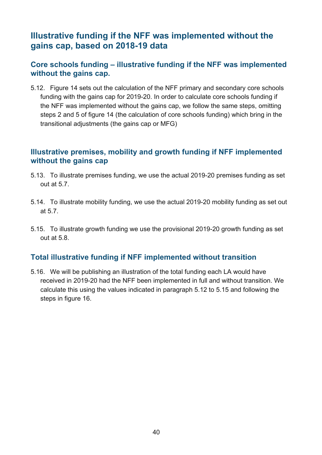# <span id="page-39-0"></span>**Illustrative funding if the NFF was implemented without the gains cap, based on 2018-19 data**

#### <span id="page-39-1"></span>**Core schools funding – illustrative funding if the NFF was implemented without the gains cap.**

5.12. Figure 14 sets out the calculation of the NFF primary and secondary core schools funding with the gains cap for 2019-20. In order to calculate core schools funding if the NFF was implemented without the gains cap, we follow the same steps, omitting steps 2 and 5 of figure 14 (the calculation of core schools funding) which bring in the transitional adjustments (the gains cap or MFG)

#### <span id="page-39-2"></span>**Illustrative premises, mobility and growth funding if NFF implemented without the gains cap**

- 5.13. To illustrate premises funding, we use the actual 2019-20 premises funding as set out at 5.7.
- 5.14. To illustrate mobility funding, we use the actual 2019-20 mobility funding as set out at 5.7.
- 5.15. To illustrate growth funding we use the provisional 2019-20 growth funding as set out at 5.8.

#### <span id="page-39-3"></span>**Total illustrative funding if NFF implemented without transition**

5.16. We will be publishing an illustration of the total funding each LA would have received in 2019-20 had the NFF been implemented in full and without transition. We calculate this using the values indicated in paragraph 5.12 to 5.15 and following the steps in figure 16.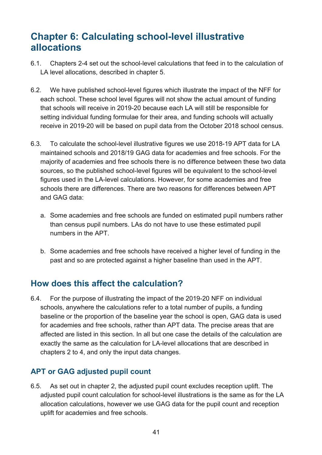# <span id="page-40-0"></span>**Chapter 6: Calculating school-level illustrative allocations**

- 6.1. Chapters 2-4 set out the school-level calculations that feed in to the calculation of LA level allocations, described in chapter 5.
- 6.2. We have published school-level figures which illustrate the impact of the NFF for each school. These school level figures will not show the actual amount of funding that schools will receive in 2019-20 because each LA will still be responsible for setting individual funding formulae for their area, and funding schools will actually receive in 2019-20 will be based on pupil data from the October 2018 school census.
- 6.3. To calculate the school-level illustrative figures we use 2018-19 APT data for LA maintained schools and 2018/19 GAG data for academies and free schools. For the majority of academies and free schools there is no difference between these two data sources, so the published school-level figures will be equivalent to the school-level figures used in the LA-level calculations. However, for some academies and free schools there are differences. There are two reasons for differences between APT and GAG data:
	- a. Some academies and free schools are funded on estimated pupil numbers rather than census pupil numbers. LAs do not have to use these estimated pupil numbers in the APT.
	- b. Some academies and free schools have received a higher level of funding in the past and so are protected against a higher baseline than used in the APT.

# <span id="page-40-1"></span>**How does this affect the calculation?**

6.4. For the purpose of illustrating the impact of the 2019-20 NFF on individual schools, anywhere the calculations refer to a total number of pupils, a funding baseline or the proportion of the baseline year the school is open, GAG data is used for academies and free schools, rather than APT data. The precise areas that are affected are listed in this section. In all but one case the details of the calculation are exactly the same as the calculation for LA-level allocations that are described in chapters 2 to 4, and only the input data changes.

## <span id="page-40-2"></span>**APT or GAG adjusted pupil count**

6.5. As set out in chapter 2, the adjusted pupil count excludes reception uplift. The adjusted pupil count calculation for school-level illustrations is the same as for the LA allocation calculations, however we use GAG data for the pupil count and reception uplift for academies and free schools.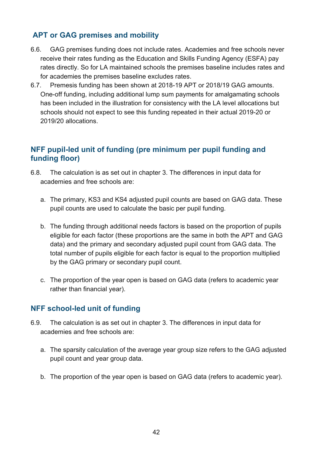## <span id="page-41-0"></span>**APT or GAG premises and mobility**

- 6.6. GAG premises funding does not include rates. Academies and free schools never receive their rates funding as the Education and Skills Funding Agency (ESFA) pay rates directly. So for LA maintained schools the premises baseline includes rates and for academies the premises baseline excludes rates.
- 6.7. Premesis funding has been shown at 2018-19 APT or 2018/19 GAG amounts. One-off funding, including additional lump sum payments for amalgamating schools has been included in the illustration for consistency with the LA level allocations but schools should not expect to see this funding repeated in their actual 2019-20 or 2019/20 allocations.

#### <span id="page-41-1"></span>**NFF pupil-led unit of funding (pre minimum per pupil funding and funding floor)**

- 6.8. The calculation is as set out in chapter 3. The differences in input data for academies and free schools are:
	- a. The primary, KS3 and KS4 adjusted pupil counts are based on GAG data. These pupil counts are used to calculate the basic per pupil funding.
	- b. The funding through additional needs factors is based on the proportion of pupils eligible for each factor (these proportions are the same in both the APT and GAG data) and the primary and secondary adjusted pupil count from GAG data. The total number of pupils eligible for each factor is equal to the proportion multiplied by the GAG primary or secondary pupil count.
	- c. The proportion of the year open is based on GAG data (refers to academic year rather than financial year).

#### <span id="page-41-2"></span>**NFF school-led unit of funding**

- 6.9. The calculation is as set out in chapter 3. The differences in input data for academies and free schools are:
	- a. The sparsity calculation of the average year group size refers to the GAG adjusted pupil count and year group data.
	- b. The proportion of the year open is based on GAG data (refers to academic year).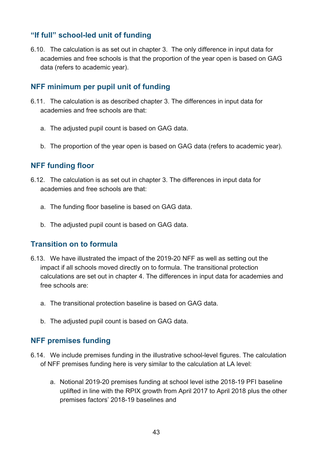#### <span id="page-42-0"></span>**"If full" school-led unit of funding**

6.10. The calculation is as set out in chapter 3. The only difference in input data for academies and free schools is that the proportion of the year open is based on GAG data (refers to academic year).

#### <span id="page-42-1"></span>**NFF minimum per pupil unit of funding**

- 6.11. The calculation is as described chapter 3. The differences in input data for academies and free schools are that:
	- a. The adjusted pupil count is based on GAG data.
	- b. The proportion of the year open is based on GAG data (refers to academic year).

#### <span id="page-42-2"></span>**NFF funding floor**

- 6.12. The calculation is as set out in chapter 3. The differences in input data for academies and free schools are that:
	- a. The funding floor baseline is based on GAG data.
	- b. The adjusted pupil count is based on GAG data.

#### <span id="page-42-3"></span>**Transition on to formula**

- 6.13. We have illustrated the impact of the 2019-20 NFF as well as setting out the impact if all schools moved directly on to formula. The transitional protection calculations are set out in chapter 4. The differences in input data for academies and free schools are:
	- a. The transitional protection baseline is based on GAG data.
	- b. The adjusted pupil count is based on GAG data.

#### <span id="page-42-4"></span>**NFF premises funding**

- 6.14. We include premises funding in the illustrative school-level figures. The calculation of NFF premises funding here is very similar to the calculation at LA level:
	- a. Notional 2019-20 premises funding at school level isthe 2018-19 PFI baseline uplifted in line with the RPIX growth from April 2017 to April 2018 plus the other premises factors' 2018-19 baselines and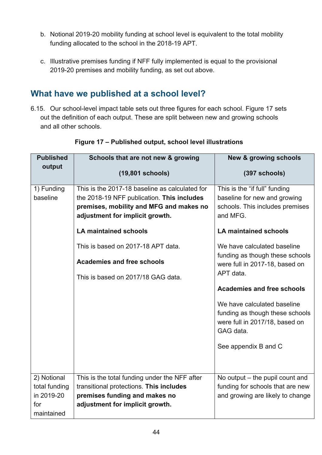- b. Notional 2019-20 mobility funding at school level is equivalent to the total mobility funding allocated to the school in the 2018-19 APT.
- c. Illustrative premises funding if NFF fully implemented is equal to the provisional 2019-20 premises and mobility funding, as set out above.

# <span id="page-43-0"></span>**What have we published at a school level?**

6.15. Our school-level impact table sets out three figures for each school. Figure 17 sets out the definition of each output. These are split between new and growing schools and all other schools.

| <b>Published</b>            | Schools that are not new & growing                                                                                                                                         | <b>New &amp; growing schools</b>                                                                              |
|-----------------------------|----------------------------------------------------------------------------------------------------------------------------------------------------------------------------|---------------------------------------------------------------------------------------------------------------|
| output                      | (19,801 schools)                                                                                                                                                           | (397 schools)                                                                                                 |
| 1) Funding<br>baseline      | This is the 2017-18 baseline as calculated for<br>the 2018-19 NFF publication. This includes<br>premises, mobility and MFG and makes no<br>adjustment for implicit growth. | This is the "if full" funding<br>baseline for new and growing<br>schools. This includes premises<br>and MFG.  |
|                             | <b>LA maintained schools</b>                                                                                                                                               | <b>LA maintained schools</b>                                                                                  |
|                             | This is based on 2017-18 APT data.                                                                                                                                         | We have calculated baseline                                                                                   |
|                             | <b>Academies and free schools</b>                                                                                                                                          | funding as though these schools<br>were full in 2017-18, based on                                             |
|                             | This is based on 2017/18 GAG data.                                                                                                                                         | APT data.                                                                                                     |
|                             |                                                                                                                                                                            | <b>Academies and free schools</b>                                                                             |
|                             |                                                                                                                                                                            | We have calculated baseline<br>funding as though these schools<br>were full in 2017/18, based on<br>GAG data. |
|                             |                                                                                                                                                                            | See appendix B and C                                                                                          |
| 2) Notional                 | This is the total funding under the NFF after                                                                                                                              | No output $-$ the pupil count and                                                                             |
| total funding<br>in 2019-20 | transitional protections. This includes<br>premises funding and makes no                                                                                                   | funding for schools that are new<br>and growing are likely to change                                          |
| for                         | adjustment for implicit growth.                                                                                                                                            |                                                                                                               |
| maintained                  |                                                                                                                                                                            |                                                                                                               |

#### **Figure 17 – Published output, school level illustrations**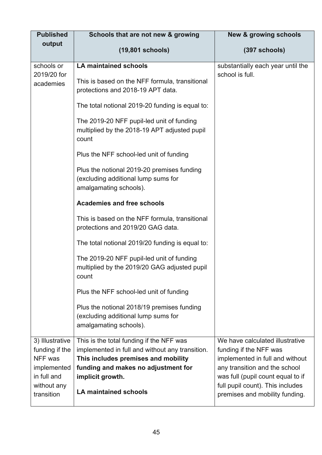| <b>Published</b>           | Schools that are not new & growing                                                                          | <b>New &amp; growing schools</b>                                   |
|----------------------------|-------------------------------------------------------------------------------------------------------------|--------------------------------------------------------------------|
| output                     | (19,801 schools)                                                                                            | (397 schools)                                                      |
| schools or                 | <b>LA maintained schools</b>                                                                                | substantially each year until the                                  |
| 2019/20 for<br>academies   | This is based on the NFF formula, transitional<br>protections and 2018-19 APT data.                         | school is full.                                                    |
|                            | The total notional 2019-20 funding is equal to:                                                             |                                                                    |
|                            | The 2019-20 NFF pupil-led unit of funding<br>multiplied by the 2018-19 APT adjusted pupil<br>count          |                                                                    |
|                            | Plus the NFF school-led unit of funding                                                                     |                                                                    |
|                            | Plus the notional 2019-20 premises funding<br>(excluding additional lump sums for<br>amalgamating schools). |                                                                    |
|                            | <b>Academies and free schools</b>                                                                           |                                                                    |
|                            | This is based on the NFF formula, transitional<br>protections and 2019/20 GAG data.                         |                                                                    |
|                            | The total notional 2019/20 funding is equal to:                                                             |                                                                    |
|                            | The 2019-20 NFF pupil-led unit of funding<br>multiplied by the 2019/20 GAG adjusted pupil<br>count          |                                                                    |
|                            | Plus the NFF school-led unit of funding                                                                     |                                                                    |
|                            | Plus the notional 2018/19 premises funding<br>(excluding additional lump sums for<br>amalgamating schools). |                                                                    |
| 3) Illustrative            | This is the total funding if the NFF was                                                                    | We have calculated illustrative                                    |
| funding if the             | implemented in full and without any transition.                                                             | funding if the NFF was                                             |
| NFF was                    | This includes premises and mobility                                                                         | implemented in full and without                                    |
| implemented<br>in full and | funding and makes no adjustment for<br>implicit growth.                                                     | any transition and the school<br>was full (pupil count equal to if |
| without any<br>transition  | <b>LA maintained schools</b>                                                                                | full pupil count). This includes<br>premises and mobility funding. |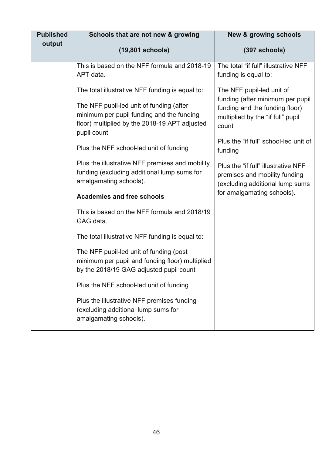| <b>Published</b> | Schools that are not new & growing                                                                                                                                                                       | <b>New &amp; growing schools</b>                                                                                                              |
|------------------|----------------------------------------------------------------------------------------------------------------------------------------------------------------------------------------------------------|-----------------------------------------------------------------------------------------------------------------------------------------------|
| output           | (19,801 schools)                                                                                                                                                                                         | (397 schools)                                                                                                                                 |
|                  | This is based on the NFF formula and 2018-19<br>APT data.                                                                                                                                                | The total "if full" illustrative NFF<br>funding is equal to:                                                                                  |
|                  | The total illustrative NFF funding is equal to:<br>The NFF pupil-led unit of funding (after<br>minimum per pupil funding and the funding<br>floor) multiplied by the 2018-19 APT adjusted<br>pupil count | The NFF pupil-led unit of<br>funding (after minimum per pupil<br>funding and the funding floor)<br>multiplied by the "if full" pupil<br>count |
|                  | Plus the NFF school-led unit of funding                                                                                                                                                                  | Plus the "if full" school-led unit of<br>funding                                                                                              |
|                  | Plus the illustrative NFF premises and mobility<br>funding (excluding additional lump sums for<br>amalgamating schools).                                                                                 | Plus the "if full" illustrative NFF<br>premises and mobility funding<br>(excluding additional lump sums                                       |
|                  | <b>Academies and free schools</b>                                                                                                                                                                        | for amalgamating schools).                                                                                                                    |
|                  | This is based on the NFF formula and 2018/19<br>GAG data.                                                                                                                                                |                                                                                                                                               |
|                  | The total illustrative NFF funding is equal to:                                                                                                                                                          |                                                                                                                                               |
|                  | The NFF pupil-led unit of funding (post<br>minimum per pupil and funding floor) multiplied<br>by the 2018/19 GAG adjusted pupil count                                                                    |                                                                                                                                               |
|                  | Plus the NFF school-led unit of funding                                                                                                                                                                  |                                                                                                                                               |
|                  | Plus the illustrative NFF premises funding<br>(excluding additional lump sums for<br>amalgamating schools).                                                                                              |                                                                                                                                               |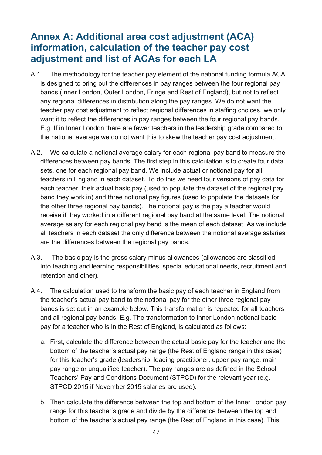# <span id="page-46-0"></span>**Annex A: Additional area cost adjustment (ACA) information, calculation of the teacher pay cost adjustment and list of ACAs for each LA**

- A.1. The methodology for the teacher pay element of the national funding formula ACA is designed to bring out the differences in pay ranges between the four regional pay bands (Inner London, Outer London, Fringe and Rest of England), but not to reflect any regional differences in distribution along the pay ranges. We do not want the teacher pay cost adjustment to reflect regional differences in staffing choices, we only want it to reflect the differences in pay ranges between the four regional pay bands. E.g. If in Inner London there are fewer teachers in the leadership grade compared to the national average we do not want this to skew the teacher pay cost adjustment.
- A.2. We calculate a notional average salary for each regional pay band to measure the differences between pay bands. The first step in this calculation is to create four data sets, one for each regional pay band. We include actual or notional pay for all teachers in England in each dataset. To do this we need four versions of pay data for each teacher, their actual basic pay (used to populate the dataset of the regional pay band they work in) and three notional pay figures (used to populate the datasets for the other three regional pay bands). The notional pay is the pay a teacher would receive if they worked in a different regional pay band at the same level. The notional average salary for each regional pay band is the mean of each dataset. As we include all teachers in each dataset the only difference between the notional average salaries are the differences between the regional pay bands.
- A.3. The basic pay is the gross salary minus allowances (allowances are classified into teaching and learning responsibilities, special educational needs, recruitment and retention and other).
- A.4. The calculation used to transform the basic pay of each teacher in England from the teacher's actual pay band to the notional pay for the other three regional pay bands is set out in an example below. This transformation is repeated for all teachers and all regional pay bands. E.g. The transformation to Inner London notional basic pay for a teacher who is in the Rest of England, is calculated as follows:
	- a. First, calculate the difference between the actual basic pay for the teacher and the bottom of the teacher's actual pay range (the Rest of England range in this case) for this teacher's grade (leadership, leading practitioner, upper pay range, main pay range or unqualified teacher). The pay ranges are as defined in the School Teachers' Pay and Conditions Document (STPCD) for the relevant year (e.g. STPCD 2015 if November 2015 salaries are used).
	- b. Then calculate the difference between the top and bottom of the Inner London pay range for this teacher's grade and divide by the difference between the top and bottom of the teacher's actual pay range (the Rest of England in this case). This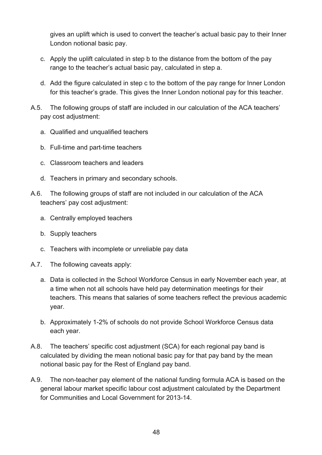gives an uplift which is used to convert the teacher's actual basic pay to their Inner London notional basic pay.

- c. Apply the uplift calculated in step b to the distance from the bottom of the pay range to the teacher's actual basic pay, calculated in step a.
- d. Add the figure calculated in step c to the bottom of the pay range for Inner London for this teacher's grade. This gives the Inner London notional pay for this teacher.
- A.5. The following groups of staff are included in our calculation of the ACA teachers' pay cost adjustment:
	- a. Qualified and unqualified teachers
	- b. Full-time and part-time teachers
	- c. Classroom teachers and leaders
	- d. Teachers in primary and secondary schools.
- A.6. The following groups of staff are not included in our calculation of the ACA teachers' pay cost adjustment:
	- a. Centrally employed teachers
	- b. Supply teachers
	- c. Teachers with incomplete or unreliable pay data
- A.7. The following caveats apply:
	- a. Data is collected in the School Workforce Census in early November each year, at a time when not all schools have held pay determination meetings for their teachers. This means that salaries of some teachers reflect the previous academic year.
	- b. Approximately 1-2% of schools do not provide School Workforce Census data each year.
- A.8. The teachers' specific cost adjustment (SCA) for each regional pay band is calculated by dividing the mean notional basic pay for that pay band by the mean notional basic pay for the Rest of England pay band.
- A.9. The non-teacher pay element of the national funding formula ACA is based on the general labour market specific labour cost adjustment calculated by the Department for Communities and Local Government for 2013-14.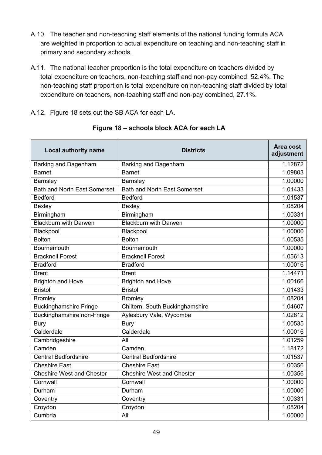- A.10. The teacher and non-teaching staff elements of the national funding formula ACA are weighted in proportion to actual expenditure on teaching and non-teaching staff in primary and secondary schools.
- A.11. The national teacher proportion is the total expenditure on teachers divided by total expenditure on teachers, non-teaching staff and non-pay combined, 52.4%. The non-teaching staff proportion is total expenditure on non-teaching staff divided by total expenditure on teachers, non-teaching staff and non-pay combined, 27.1%.

A.12. Figure 18 sets out the SB ACA for each LA.

| <b>Local authority name</b>         | <b>Districts</b>                    | Area cost<br>adjustment |
|-------------------------------------|-------------------------------------|-------------------------|
| <b>Barking and Dagenham</b>         | <b>Barking and Dagenham</b>         | 1.12872                 |
| <b>Barnet</b>                       | <b>Barnet</b>                       | 1.09803                 |
| Barnsley                            | Barnsley                            | 1.00000                 |
| <b>Bath and North East Somerset</b> | <b>Bath and North East Somerset</b> | 1.01433                 |
| <b>Bedford</b>                      | <b>Bedford</b>                      | 1.01537                 |
| Bexley                              | Bexley                              | 1.08204                 |
| Birmingham                          | Birmingham                          | 1.00331                 |
| <b>Blackburn with Darwen</b>        | <b>Blackburn with Darwen</b>        | 1.00000                 |
| Blackpool                           | Blackpool                           | 1.00000                 |
| <b>Bolton</b>                       | <b>Bolton</b>                       | 1.00535                 |
| Bournemouth                         | Bournemouth                         | 1.00000                 |
| <b>Bracknell Forest</b>             | <b>Bracknell Forest</b>             | 1.05613                 |
| <b>Bradford</b>                     | <b>Bradford</b>                     | 1.00016                 |
| <b>Brent</b>                        | <b>Brent</b>                        | 1.14471                 |
| <b>Brighton and Hove</b>            | <b>Brighton and Hove</b>            | 1.00166                 |
| <b>Bristol</b>                      | <b>Bristol</b>                      | 1.01433                 |
| <b>Bromley</b>                      | <b>Bromley</b>                      | 1.08204                 |
| <b>Buckinghamshire Fringe</b>       | Chiltern, South Buckinghamshire     | 1.04607                 |
| <b>Buckinghamshire non-Fringe</b>   | Aylesbury Vale, Wycombe             | 1.02812                 |
| <b>Bury</b>                         | <b>Bury</b>                         | 1.00535                 |
| Calderdale                          | Calderdale                          | 1.00016                 |
| Cambridgeshire                      | All                                 | 1.01259                 |
| Camden                              | Camden                              | 1.18172                 |
| <b>Central Bedfordshire</b>         | <b>Central Bedfordshire</b>         | 1.01537                 |
| <b>Cheshire East</b>                | <b>Cheshire East</b>                | 1.00356                 |
| <b>Cheshire West and Chester</b>    | <b>Cheshire West and Chester</b>    | 1.00356                 |
| Cornwall                            | Cornwall                            | 1.00000                 |
| Durham                              | Durham                              | 1.00000                 |
| Coventry                            | Coventry                            | 1.00331                 |
| Croydon                             | Croydon                             | 1.08204                 |
| Cumbria                             | All                                 | 1.00000                 |

#### **Figure 18 – schools block ACA for each LA**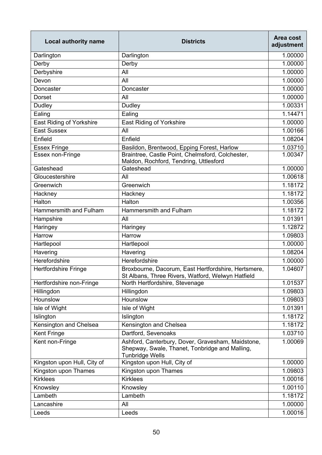| <b>Local authority name</b>     | <b>Districts</b>                                                                                                              | Area cost<br>adjustment |
|---------------------------------|-------------------------------------------------------------------------------------------------------------------------------|-------------------------|
| Darlington                      | Darlington                                                                                                                    | 1.00000                 |
| Derby                           | Derby                                                                                                                         | 1.00000                 |
| Derbyshire                      | All                                                                                                                           | 1.00000                 |
| Devon                           | All                                                                                                                           | 1.00000                 |
| Doncaster                       | Doncaster                                                                                                                     | 1.00000                 |
| <b>Dorset</b>                   | All                                                                                                                           | 1.00000                 |
| Dudley                          | Dudley                                                                                                                        | 1.00331                 |
| Ealing                          | Ealing                                                                                                                        | 1.14471                 |
| <b>East Riding of Yorkshire</b> | <b>East Riding of Yorkshire</b>                                                                                               | 1.00000                 |
| <b>East Sussex</b>              | All                                                                                                                           | 1.00166                 |
| Enfield                         | Enfield                                                                                                                       | 1.08204                 |
| <b>Essex Fringe</b>             | Basildon, Brentwood, Epping Forest, Harlow                                                                                    | 1.03710                 |
| Essex non-Fringe                | Braintree, Castle Point, Chelmsford, Colchester,<br>Maldon, Rochford, Tendring, Uttlesford                                    | 1.00347                 |
| Gateshead                       | Gateshead                                                                                                                     | 1.00000                 |
| Gloucestershire                 | All                                                                                                                           | 1.00618                 |
| Greenwich                       | Greenwich                                                                                                                     | 1.18172                 |
| Hackney                         | Hackney                                                                                                                       | 1.18172                 |
| Halton                          | Halton                                                                                                                        | 1.00356                 |
| Hammersmith and Fulham          | Hammersmith and Fulham                                                                                                        | 1.18172                 |
| Hampshire                       | All                                                                                                                           | 1.01391                 |
| Haringey                        | Haringey                                                                                                                      | 1.12872                 |
| Harrow                          | Harrow                                                                                                                        | 1.09803                 |
| Hartlepool                      | Hartlepool                                                                                                                    | 1.00000                 |
| Havering                        | Havering                                                                                                                      | 1.08204                 |
| Herefordshire                   | Herefordshire                                                                                                                 | 1.00000                 |
| <b>Hertfordshire Fringe</b>     | Broxbourne, Dacorum, East Hertfordshire, Hertsmere,<br>St Albans, Three Rivers, Watford, Welwyn Hatfield                      | 1.04607                 |
| Hertfordshire non-Fringe        | North Hertfordshire, Stevenage                                                                                                | 1.01537                 |
| Hillingdon                      | Hillingdon                                                                                                                    | 1.09803                 |
| Hounslow                        | Hounslow                                                                                                                      | 1.09803                 |
| Isle of Wight                   | Isle of Wight                                                                                                                 | 1.01391                 |
| Islington                       | Islington                                                                                                                     | 1.18172                 |
| Kensington and Chelsea          | Kensington and Chelsea                                                                                                        | 1.18172                 |
| <b>Kent Fringe</b>              | Dartford, Sevenoaks                                                                                                           | 1.03710                 |
| Kent non-Fringe                 | Ashford, Canterbury, Dover, Gravesham, Maidstone,<br>Shepway, Swale, Thanet, Tonbridge and Malling,<br><b>Tunbridge Wells</b> | 1.00069                 |
| Kingston upon Hull, City of     | Kingston upon Hull, City of                                                                                                   | 1.00000                 |
| Kingston upon Thames            | Kingston upon Thames                                                                                                          | 1.09803                 |
| <b>Kirklees</b>                 | <b>Kirklees</b>                                                                                                               | 1.00016                 |
| Knowsley                        | Knowsley                                                                                                                      | 1.00110                 |
| Lambeth                         | Lambeth                                                                                                                       | 1.18172                 |
| Lancashire                      | All                                                                                                                           | 1.00000                 |
| Leeds                           | Leeds                                                                                                                         | 1.00016                 |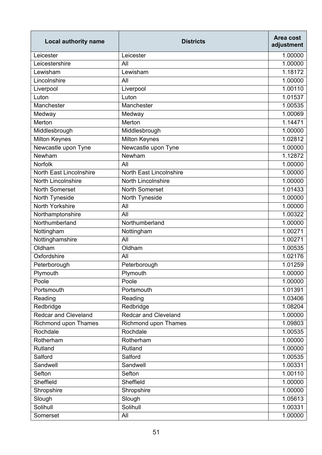| <b>Local authority name</b>    | <b>Districts</b>            | Area cost<br>adjustment |
|--------------------------------|-----------------------------|-------------------------|
| Leicester                      | Leicester                   | 1.00000                 |
| Leicestershire                 | All                         | 1.00000                 |
| Lewisham                       | Lewisham                    | 1.18172                 |
| Lincolnshire                   | All                         | 1.00000                 |
| Liverpool                      | Liverpool                   | 1.00110                 |
| Luton                          | Luton                       | 1.01537                 |
| Manchester                     | Manchester                  | 1.00535                 |
| Medway                         | Medway                      | 1.00069                 |
| Merton                         | Merton                      | 1.14471                 |
| Middlesbrough                  | Middlesbrough               | 1.00000                 |
| <b>Milton Keynes</b>           | <b>Milton Keynes</b>        | 1.02812                 |
| Newcastle upon Tyne            | Newcastle upon Tyne         | 1.00000                 |
| Newham                         | Newham                      | 1.12872                 |
| <b>Norfolk</b>                 | All                         | 1.00000                 |
| <b>North East Lincolnshire</b> | North East Lincolnshire     | 1.00000                 |
| <b>North Lincolnshire</b>      | <b>North Lincolnshire</b>   | 1.00000                 |
| <b>North Somerset</b>          | <b>North Somerset</b>       | 1.01433                 |
| North Tyneside                 | North Tyneside              | 1.00000                 |
| North Yorkshire                | All                         | 1.00000                 |
| Northamptonshire               | All                         | 1.00322                 |
| Northumberland                 | Northumberland              | 1.00000                 |
| Nottingham                     | Nottingham                  | 1.00271                 |
| Nottinghamshire                | All                         | 1.00271                 |
| Oldham                         | Oldham                      | 1.00535                 |
| Oxfordshire                    | All                         | 1.02176                 |
| Peterborough                   | Peterborough                | 1.01259                 |
| Plymouth                       | Plymouth                    | 1.00000                 |
| Poole                          | Poole                       | 1.00000                 |
| Portsmouth                     | Portsmouth                  | 1.01391                 |
| Reading                        | Reading                     | 1.03406                 |
| Redbridge                      | Redbridge                   | 1.08204                 |
| <b>Redcar and Cleveland</b>    | <b>Redcar and Cleveland</b> | 1.00000                 |
| Richmond upon Thames           | Richmond upon Thames        | 1.09803                 |
| Rochdale                       | Rochdale                    | 1.00535                 |
| Rotherham                      | Rotherham                   | 1.00000                 |
| Rutland                        | Rutland                     | 1.00000                 |
| Salford                        | Salford                     | 1.00535                 |
| Sandwell                       | Sandwell                    | 1.00331                 |
| Sefton                         | Sefton                      | 1.00110                 |
| Sheffield                      | Sheffield                   | 1.00000                 |
| Shropshire                     | Shropshire                  | 1.00000                 |
| Slough                         | Slough                      | 1.05613                 |
| Solihull                       | Solihull                    | 1.00331                 |
| Somerset                       | All                         | 1.00000                 |
|                                |                             |                         |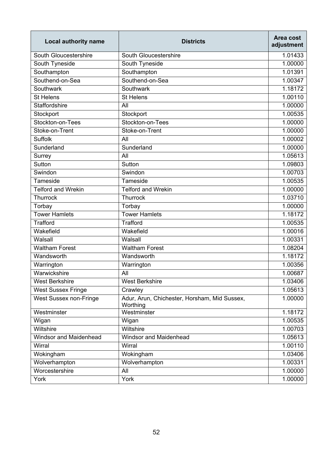| <b>Local authority name</b>   | <b>Districts</b>                                         | Area cost<br>adjustment |
|-------------------------------|----------------------------------------------------------|-------------------------|
| South Gloucestershire         | South Gloucestershire                                    | 1.01433                 |
| South Tyneside                | South Tyneside                                           | 1.00000                 |
| Southampton                   | Southampton                                              | 1.01391                 |
| Southend-on-Sea               | Southend-on-Sea                                          | 1.00347                 |
| Southwark                     | Southwark                                                | 1.18172                 |
| <b>St Helens</b>              | <b>St Helens</b>                                         | 1.00110                 |
| <b>Staffordshire</b>          | All                                                      | 1.00000                 |
| Stockport                     | Stockport                                                | 1.00535                 |
| Stockton-on-Tees              | Stockton-on-Tees                                         | 1.00000                 |
| Stoke-on-Trent                | Stoke-on-Trent                                           | 1.00000                 |
| <b>Suffolk</b>                | All                                                      | 1.00002                 |
| Sunderland                    | Sunderland                                               | 1.00000                 |
| Surrey                        | All                                                      | 1.05613                 |
| Sutton                        | Sutton                                                   | 1.09803                 |
| Swindon                       | Swindon                                                  | 1.00703                 |
| Tameside                      | Tameside                                                 | 1.00535                 |
| Telford and Wrekin            | <b>Telford and Wrekin</b>                                | 1.00000                 |
| Thurrock                      | Thurrock                                                 | 1.03710                 |
| Torbay                        | Torbay                                                   | 1.00000                 |
| <b>Tower Hamlets</b>          | <b>Tower Hamlets</b>                                     | 1.18172                 |
| <b>Trafford</b>               | <b>Trafford</b>                                          | 1.00535                 |
| Wakefield                     | Wakefield                                                | 1.00016                 |
| Walsall                       | Walsall                                                  | 1.00331                 |
| <b>Waltham Forest</b>         | <b>Waltham Forest</b>                                    | 1.08204                 |
| Wandsworth                    | Wandsworth                                               | 1.18172                 |
| Warrington                    | Warrington                                               | 1.00356                 |
| Warwickshire                  | All                                                      | 1.00687                 |
| <b>West Berkshire</b>         | <b>West Berkshire</b>                                    | 1.03406                 |
| <b>West Sussex Fringe</b>     | Crawley                                                  | 1.05613                 |
| West Sussex non-Fringe        | Adur, Arun, Chichester, Horsham, Mid Sussex,<br>Worthing | 1.00000                 |
| Westminster                   | Westminster                                              | 1.18172                 |
| Wigan                         | Wigan                                                    | 1.00535                 |
| Wiltshire                     | Wiltshire                                                | 1.00703                 |
| <b>Windsor and Maidenhead</b> | <b>Windsor and Maidenhead</b>                            | 1.05613                 |
| Wirral                        | Wirral                                                   | 1.00110                 |
| Wokingham                     | Wokingham                                                | 1.03406                 |
| Wolverhampton                 | Wolverhampton                                            | 1.00331                 |
| Worcestershire                | All                                                      | 1.00000                 |
| York                          | York                                                     | 1.00000                 |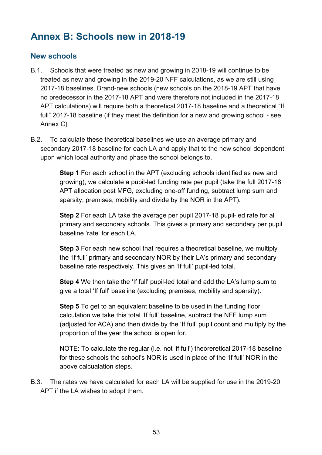# <span id="page-52-0"></span>**Annex B: Schools new in 2018-19**

#### <span id="page-52-1"></span>**New schools**

- B.1. Schools that were treated as new and growing in 2018-19 will continue to be treated as new and growing in the 2019-20 NFF calculations, as we are still using 2017-18 baselines. Brand-new schools (new schools on the 2018-19 APT that have no predecessor in the 2017-18 APT and were therefore not included in the 2017-18 APT calculations) will require both a theoretical 2017-18 baseline and a theoretical "If full" 2017-18 baseline (if they meet the definition for a new and growing school - see Annex C)
- B.2. To calculate these theoretical baselines we use an average primary and secondary 2017-18 baseline for each LA and apply that to the new school dependent upon which local authority and phase the school belongs to.

**Step 1** For each school in the APT (excluding schools identified as new and growing), we calculate a pupil-led funding rate per pupil (take the full 2017-18 APT allocation post MFG, excluding one-off funding, subtract lump sum and sparsity, premises, mobility and divide by the NOR in the APT).

**Step 2** For each LA take the average per pupil 2017-18 pupil-led rate for all primary and secondary schools. This gives a primary and secondary per pupil baseline 'rate' for each LA.

**Step 3** For each new school that requires a theoretical baseline, we multiply the 'If full' primary and secondary NOR by their LA's primary and secondary baseline rate respectively. This gives an 'If full' pupil-led total.

**Step 4** We then take the 'If full' pupil-led total and add the LA's lump sum to give a total 'If full' baseline (excluding premises, mobility and sparsity).

**Step 5** To get to an equivalent baseline to be used in the funding floor calculation we take this total 'If full' baseline, subtract the NFF lump sum (adjusted for ACA) and then divide by the 'If full' pupil count and multiply by the proportion of the year the school is open for.

NOTE: To calculate the regular (i.e. not 'if full') theoreretical 2017-18 baseline for these schools the school's NOR is used in place of the 'If full' NOR in the above calcualation steps.

B.3. The rates we have calculated for each LA will be supplied for use in the 2019-20 APT if the LA wishes to adopt them.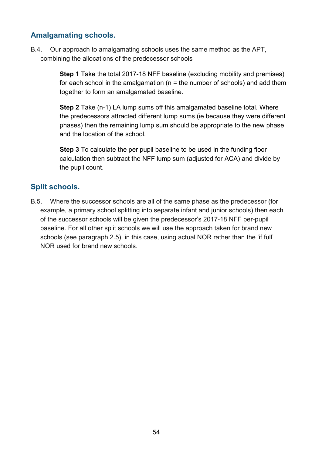#### <span id="page-53-0"></span>**Amalgamating schools.**

B.4. Our approach to amalgamating schools uses the same method as the APT, combining the allocations of the predecessor schools

> **Step 1** Take the total 2017-18 NFF baseline (excluding mobility and premises) for each school in the amalgamation ( $n =$  the number of schools) and add them together to form an amalgamated baseline.

> **Step 2** Take (n-1) LA lump sums off this amalgamated baseline total. Where the predecessors attracted different lump sums (ie because they were different phases) then the remaining lump sum should be appropriate to the new phase and the location of the school.

**Step 3** To calculate the per pupil baseline to be used in the funding floor calculation then subtract the NFF lump sum (adjusted for ACA) and divide by the pupil count.

## <span id="page-53-1"></span>**Split schools.**

B.5. Where the successor schools are all of the same phase as the predecessor (for example, a primary school splitting into separate infant and junior schools) then each of the successor schools will be given the predecessor's 2017-18 NFF per-pupil baseline. For all other split schools we will use the approach taken for brand new schools (see paragraph 2.5), in this case, using actual NOR rather than the 'if full' NOR used for brand new schools.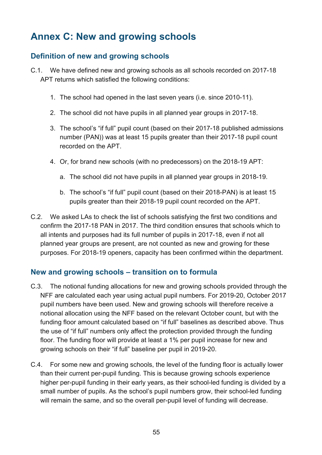# <span id="page-54-0"></span>**Annex C: New and growing schools**

#### <span id="page-54-1"></span>**Definition of new and growing schools**

- C.1. We have defined new and growing schools as all schools recorded on 2017-18 APT returns which satisfied the following conditions:
	- 1. The school had opened in the last seven years (i.e. since 2010-11).
	- 2. The school did not have pupils in all planned year groups in 2017-18.
	- 3. The school's "if full" pupil count (based on their 2017-18 published admissions number (PAN)) was at least 15 pupils greater than their 2017-18 pupil count recorded on the APT.
	- 4. Or, for brand new schools (with no predecessors) on the 2018-19 APT:
		- a. The school did not have pupils in all planned year groups in 2018-19.
		- b. The school's "if full" pupil count (based on their 2018-PAN) is at least 15 pupils greater than their 2018-19 pupil count recorded on the APT.
- C.2. We asked LAs to check the list of schools satisfying the first two conditions and confirm the 2017-18 PAN in 2017. The third condition ensures that schools which to all intents and purposes had its full number of pupils in 2017-18, even if not all planned year groups are present, are not counted as new and growing for these purposes. For 2018-19 openers, capacity has been confirmed within the department.

#### <span id="page-54-2"></span>**New and growing schools – transition on to formula**

- C.3. The notional funding allocations for new and growing schools provided through the NFF are calculated each year using actual pupil numbers. For 2019-20, October 2017 pupil numbers have been used. New and growing schools will therefore receive a notional allocation using the NFF based on the relevant October count, but with the funding floor amount calculated based on "if full" baselines as described above. Thus the use of "if full" numbers only affect the protection provided through the funding floor. The funding floor will provide at least a 1% per pupil increase for new and growing schools on their "if full" baseline per pupil in 2019-20.
- C.4. For some new and growing schools, the level of the funding floor is actually lower than their current per-pupil funding. This is because growing schools experience higher per-pupil funding in their early years, as their school-led funding is divided by a small number of pupils. As the school's pupil numbers grow, their school-led funding will remain the same, and so the overall per-pupil level of funding will decrease.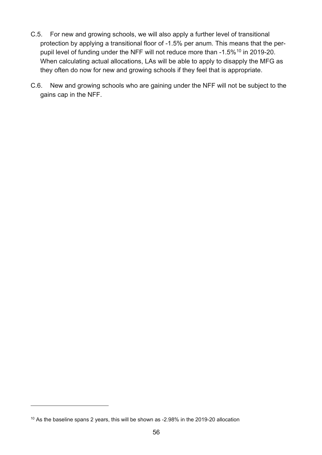- C.5. For new and growing schools, we will also apply a further level of transitional protection by applying a transitional floor of -1.5% per anum. This means that the per-pupil level of funding under the NFF will not reduce more than -1.5%<sup>[10](#page-55-0)</sup> in 2019-20. When calculating actual allocations, LAs will be able to apply to disapply the MFG as they often do now for new and growing schools if they feel that is appropriate.
- C.6. New and growing schools who are gaining under the NFF will not be subject to the gains cap in the NFF.

 $\overline{a}$ 

<span id="page-55-0"></span><sup>10</sup> As the baseline spans 2 years, this will be shown as -2.98% in the 2019-20 allocation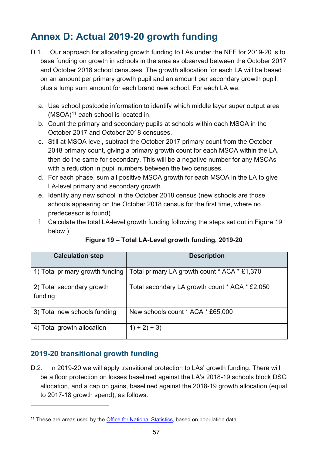# <span id="page-56-0"></span>**Annex D: Actual 2019-20 growth funding**

- D.1. Our approach for allocating growth funding to LAs under the NFF for 2019-20 is to base funding on growth in schools in the area as observed between the October 2017 and October 2018 school censuses. The growth allocation for each LA will be based on an amount per primary growth pupil and an amount per secondary growth pupil, plus a lump sum amount for each brand new school. For each LA we:
	- a. Use school postcode information to identify which middle layer super output area  $(MSOA)^{11}$  $(MSOA)^{11}$  $(MSOA)^{11}$  each school is located in.
	- b. Count the primary and secondary pupils at schools within each MSOA in the October 2017 and October 2018 censuses.
	- c. Still at MSOA level, subtract the October 2017 primary count from the October 2018 primary count, giving a primary growth count for each MSOA within the LA, then do the same for secondary. This will be a negative number for any MSOAs with a reduction in pupil numbers between the two censuses.
	- d. For each phase, sum all positive MSOA growth for each MSOA in the LA to give LA-level primary and secondary growth.
	- e. Identify any new school in the October 2018 census (new schools are those schools appearing on the October 2018 census for the first time, where no predecessor is found)
	- f. Calculate the total LA-level growth funding following the steps set out in Figure 19 below.)

| <b>Calculation step</b>              | <b>Description</b>                             |
|--------------------------------------|------------------------------------------------|
| 1) Total primary growth funding      | Total primary LA growth count * ACA * £1,370   |
| 2) Total secondary growth<br>funding | Total secondary LA growth count * ACA * £2,050 |
| 3) Total new schools funding         | New schools count * ACA * £65,000              |
| 4) Total growth allocation           | $1) + 2) + 3)$                                 |

**Figure 19 – Total LA-Level growth funding, 2019-20**

## <span id="page-56-1"></span>**2019-20 transitional growth funding**

 $\overline{a}$ 

D.2. In 2019-20 we will apply transitional protection to LAs' growth funding. There will be a floor protection on losses baselined against the LA's 2018-19 schools block DSG allocation, and a cap on gains, baselined against the 2018-19 growth allocation (equal to 2017-18 growth spend), as follows:

<span id="page-56-2"></span><sup>&</sup>lt;sup>11</sup> These are areas used by the [Office for National Statistics,](https://www.ons.gov.uk/methodology/geography/ukgeographies/censusgeography#output-area-oa) based on population data.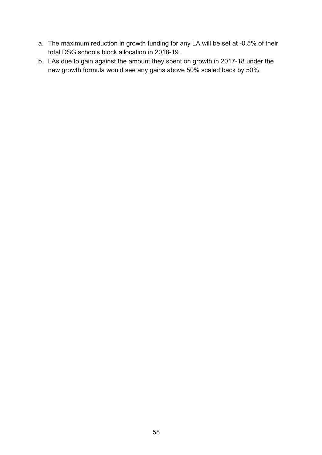- a. The maximum reduction in growth funding for any LA will be set at -0.5% of their total DSG schools block allocation in 2018-19.
- b. LAs due to gain against the amount they spent on growth in 2017-18 under the new growth formula would see any gains above 50% scaled back by 50%.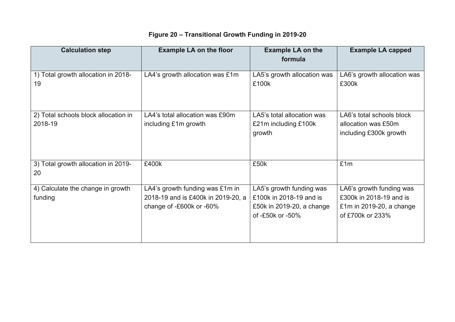# **Figure 20 – Transitional Growth Funding in 2019-20**

| <b>Calculation step</b>                         | <b>Example LA on the floor</b>                                                                    | <b>Example LA on the</b><br>formula                                                                  | <b>Example LA capped</b>                                                                            |
|-------------------------------------------------|---------------------------------------------------------------------------------------------------|------------------------------------------------------------------------------------------------------|-----------------------------------------------------------------------------------------------------|
| 1) Total growth allocation in 2018-<br>19       | LA4's growth allocation was £1m                                                                   | LA5's growth allocation was<br>£100k                                                                 | LA6's growth allocation was<br>£300k                                                                |
| 2) Total schools block allocation in<br>2018-19 | LA4's total allocation was £90m<br>including £1m growth                                           | LA5's total allocation was<br>£21m including £100k<br>growth                                         | LA6's total schools block<br>allocation was £50m<br>including £300k growth                          |
| 3) Total growth allocation in 2019-<br>20       | £400k                                                                                             | £50k                                                                                                 | £1m                                                                                                 |
| 4) Calculate the change in growth<br>funding    | LA4's growth funding was £1m in<br>2018-19 and is £400k in 2019-20, a<br>change of -£600k or -60% | LA5's growth funding was<br>£100k in 2018-19 and is<br>£50k in 2019-20, a change<br>of -£50k or -50% | LA6's growth funding was<br>£300k in 2018-19 and is<br>£1m in 2019-20, a change<br>of £700k or 233% |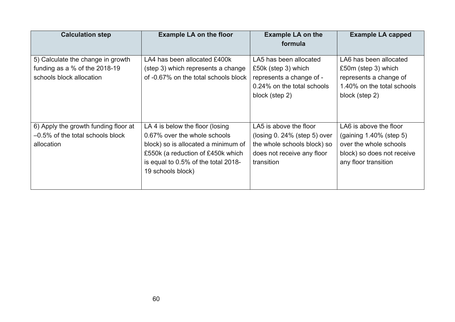| <b>Calculation step</b>              | <b>Example LA on the floor</b>       | <b>Example LA on the</b><br>formula | <b>Example LA capped</b>   |
|--------------------------------------|--------------------------------------|-------------------------------------|----------------------------|
|                                      |                                      |                                     |                            |
| 5) Calculate the change in growth    | LA4 has been allocated £400k         | LA5 has been allocated              | LA6 has been allocated     |
| funding as a % of the 2018-19        | (step 3) which represents a change   | £50k (step 3) which                 | £50m (step 3) which        |
| schools block allocation             | of -0.67% on the total schools block | represents a change of -            | represents a change of     |
|                                      |                                      | 0.24% on the total schools          | 1.40% on the total schools |
|                                      |                                      | block (step 2)                      | block (step 2)             |
|                                      |                                      |                                     |                            |
|                                      |                                      |                                     |                            |
| 6) Apply the growth funding floor at | LA 4 is below the floor (losing      | LA5 is above the floor              | LA6 is above the floor     |
| $-0.5\%$ of the total schools block  | 0.67% over the whole schools         | ( $\log_{10} 0.24\%$ (step 5) over  | $(gaining 1.40\% (step 5)$ |
| allocation                           | block) so is allocated a minimum of  | the whole schools block) so         | over the whole schools     |
|                                      | £550k (a reduction of £450k which    | does not receive any floor          | block) so does not receive |
|                                      | is equal to 0.5% of the total 2018-  | transition                          | any floor transition       |
|                                      | 19 schools block)                    |                                     |                            |
|                                      |                                      |                                     |                            |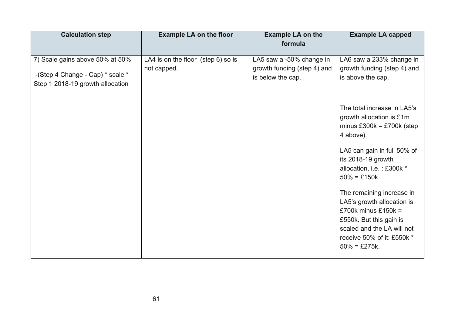| <b>Calculation step</b>          | <b>Example LA on the floor</b>          | <b>Example LA on the</b>                                | <b>Example LA capped</b>                                                                                                                                                                        |
|----------------------------------|-----------------------------------------|---------------------------------------------------------|-------------------------------------------------------------------------------------------------------------------------------------------------------------------------------------------------|
|                                  |                                         | formula                                                 |                                                                                                                                                                                                 |
|                                  |                                         |                                                         |                                                                                                                                                                                                 |
| 7) Scale gains above 50% at 50%  | LA4 is on the floor $(s_{top} 6)$ so is | LA5 saw a -50% change in<br>growth funding (step 4) and | LA6 saw a 233% change in<br>growth funding (step 4) and                                                                                                                                         |
| -(Step 4 Change - Cap) * scale * | not capped.                             | is below the cap.                                       | is above the cap.                                                                                                                                                                               |
| Step 1 2018-19 growth allocation |                                         |                                                         |                                                                                                                                                                                                 |
|                                  |                                         |                                                         |                                                                                                                                                                                                 |
|                                  |                                         |                                                         | The total increase in LA5's<br>growth allocation is £1m<br>minus £300 $k =$ £700 $k$ (step<br>4 above).                                                                                         |
|                                  |                                         |                                                         | LA5 can gain in full 50% of<br>its 2018-19 growth<br>allocation, i.e.: £300k *<br>$50\% = £150k$ .                                                                                              |
|                                  |                                         |                                                         | The remaining increase in<br>LA5's growth allocation is<br>£700 $k$ minus £150 $k =$<br>£550k. But this gain is<br>scaled and the LA will not<br>receive 50% of it: £550k *<br>$50\% = £275k$ . |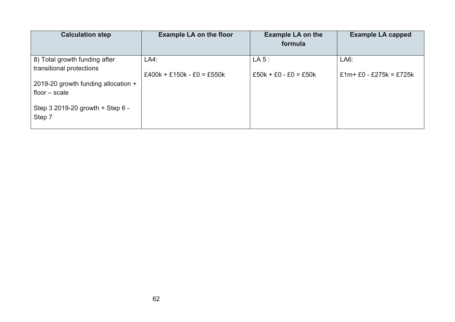| <b>Calculation step</b>             | <b>Example LA on the floor</b> | <b>Example LA on the</b><br>formula | <b>Example LA capped</b> |
|-------------------------------------|--------------------------------|-------------------------------------|--------------------------|
|                                     |                                |                                     |                          |
| 8) Total growth funding after       | LA4:                           | LA 5:                               | LAG:                     |
| transitional protections            | $£400k + £150k - £0 = £550k$   | $£50k + £0 - £0 = £50k$             | £1m + £0 - £275k = £725k |
| 2019-20 growth funding allocation + |                                |                                     |                          |
| floor $-$ scale                     |                                |                                     |                          |
| Step 3 2019-20 growth + Step 6 -    |                                |                                     |                          |
| Step 7                              |                                |                                     |                          |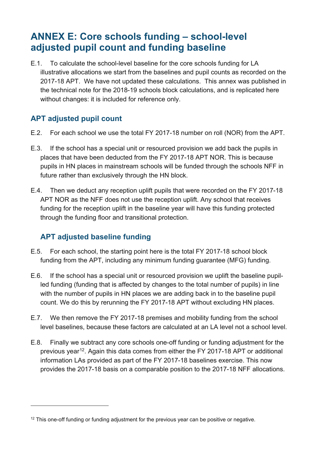# <span id="page-62-0"></span>**ANNEX E: Core schools funding – school-level adjusted pupil count and funding baseline**

E.1. To calculate the school-level baseline for the core schools funding for LA illustrative allocations we start from the baselines and pupil counts as recorded on the 2017-18 APT. We have not updated these calculations. This annex was published in the technical note for the 2018-19 schools block calculations, and is replicated here without changes: it is included for reference only.

## <span id="page-62-1"></span>**APT adjusted pupil count**

- E.2. For each school we use the total FY 2017-18 number on roll (NOR) from the APT.
- E.3. If the school has a special unit or resourced provision we add back the pupils in places that have been deducted from the FY 2017-18 APT NOR. This is because pupils in HN places in mainstream schools will be funded through the schools NFF in future rather than exclusively through the HN block.
- E.4. Then we deduct any reception uplift pupils that were recorded on the FY 2017-18 APT NOR as the NFF does not use the reception uplift. Any school that receives funding for the reception uplift in the baseline year will have this funding protected through the funding floor and transitional protection.

## <span id="page-62-2"></span>**APT adjusted baseline funding**

 $\overline{a}$ 

- E.5. For each school, the starting point here is the total FY 2017-18 school block funding from the APT, including any minimum funding guarantee (MFG) funding.
- E.6. If the school has a special unit or resourced provision we uplift the baseline pupilled funding (funding that is affected by changes to the total number of pupils) in line with the number of pupils in HN places we are adding back in to the baseline pupil count. We do this by rerunning the FY 2017-18 APT without excluding HN places.
- E.7. We then remove the FY 2017-18 premises and mobility funding from the school level baselines, because these factors are calculated at an LA level not a school level.
- E.8. Finally we subtract any core schools one-off funding or funding adjustment for the previous year<sup>[12](#page-62-3)</sup>. Again this data comes from either the FY 2017-18 APT or additional information LAs provided as part of the FY 2017-18 baselines exercise. This now provides the 2017-18 basis on a comparable position to the 2017-18 NFF allocations.

<span id="page-62-3"></span> $12$  This one-off funding or funding adjustment for the previous year can be positive or negative.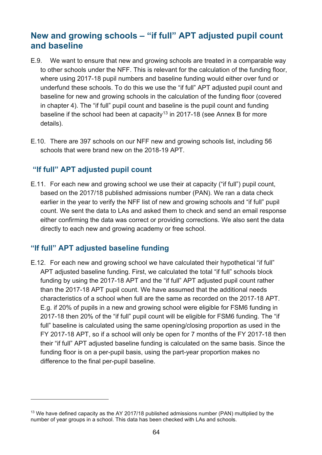## <span id="page-63-0"></span>**New and growing schools – "if full" APT adjusted pupil count and baseline**

- E.9. We want to ensure that new and growing schools are treated in a comparable way to other schools under the NFF. This is relevant for the calculation of the funding floor, where using 2017-18 pupil numbers and baseline funding would either over fund or underfund these schools. To do this we use the "if full" APT adjusted pupil count and baseline for new and growing schools in the calculation of the funding floor (covered in chapter 4). The "if full" pupil count and baseline is the pupil count and funding baseline if the school had been at capacity<sup>[13](#page-63-3)</sup> in 2017-18 (see Annex B for more details).
- E.10. There are 397 schools on our NFF new and growing schools list, including 56 schools that were brand new on the 2018-19 APT.

#### <span id="page-63-1"></span>**"If full" APT adjusted pupil count**

E.11. For each new and growing school we use their at capacity ("if full") pupil count, based on the 2017/18 published admissions number (PAN). We ran a data check earlier in the year to verify the NFF list of new and growing schools and "if full" pupil count. We sent the data to LAs and asked them to check and send an email response either confirming the data was correct or providing corrections. We also sent the data directly to each new and growing academy or free school.

#### <span id="page-63-2"></span>**"If full" APT adjusted baseline funding**

 $\overline{a}$ 

E.12. For each new and growing school we have calculated their hypothetical "if full" APT adjusted baseline funding. First, we calculated the total "if full" schools block funding by using the 2017-18 APT and the "if full" APT adjusted pupil count rather than the 2017-18 APT pupil count. We have assumed that the additional needs characteristics of a school when full are the same as recorded on the 2017-18 APT. E.g. if 20% of pupils in a new and growing school were eligible for FSM6 funding in 2017-18 then 20% of the "if full" pupil count will be eligible for FSM6 funding. The "if full" baseline is calculated using the same opening/closing proportion as used in the FY 2017-18 APT, so if a school will only be open for 7 months of the FY 2017-18 then their "if full" APT adjusted baseline funding is calculated on the same basis. Since the funding floor is on a per-pupil basis, using the part-year proportion makes no difference to the final per-pupil baseline.

<span id="page-63-3"></span><sup>&</sup>lt;sup>13</sup> We have defined capacity as the AY 2017/18 published admissions number (PAN) multiplied by the number of year groups in a school. This data has been checked with LAs and schools.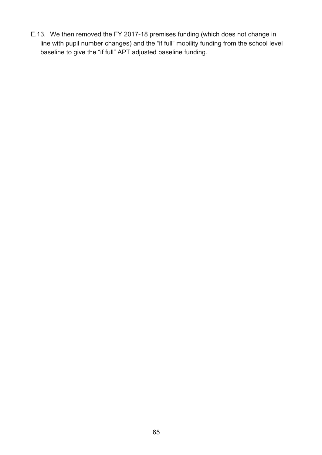E.13. We then removed the FY 2017-18 premises funding (which does not change in line with pupil number changes) and the "if full" mobility funding from the school level baseline to give the "if full" APT adjusted baseline funding.